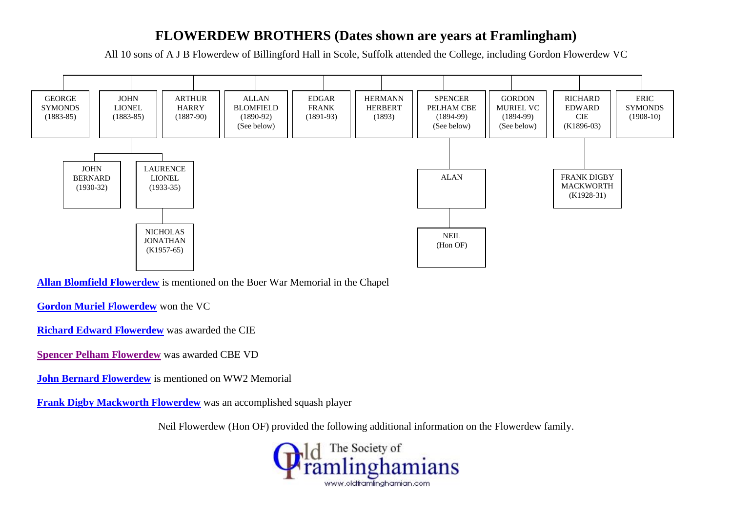#### **FLOWERDEW BROTHERS (Dates shown are years at Framlingham)**

All 10 sons of A J B Flowerdew of Billingford Hall in Scole, Suffolk attended the College, including Gordon Flowerdew VC



**[Allan Blomfield Flowerdew](http://www.oldframlinghamian.com/gallery2/main.php?g2_view=core.DownloadItem&g2_itemId=11085&g2_serialNumber=1&g2_GALLERYSID=TMP_SESSION_ID_DI_NOISSES_PMT)** is mentioned on the Boer War Memorial in the Chapel

**[Gordon Muriel Flowerdew](http://www.oldframlinghamian.com/gallery2/main.php?g2_view=core.DownloadItem&g2_itemId=18565&g2_GALLERYSID=92b473366003540145255aa858259644)** won the VC

**[Richard Edward Flowerdew](http://www.oldframlinghamian.com/images/articles/LTCOLONELRICHARDEDWARDFLOWERDEWCIE1896-1903.pdf)** was awarded the CIE

**[Spencer Pelham Flowerdew](http://www.oldframlinghamian.com/staticpages/index.php?page=20070222155839464)** was awarded CBE VD

**[John Bernard Flowerdew](http://www.oldframlinghamian.com/staticpages/index.php?page=20061111164245159)** is mentioned on WW2 Memorial

**[Frank Digby Mackworth Flowerdew](http://www.oldframlinghamian.com/staticpages/index.php?page=20070222160434133)** was an accomplished squash player

Neil Flowerdew (Hon OF) provided the following additional information on the Flowerdew family.

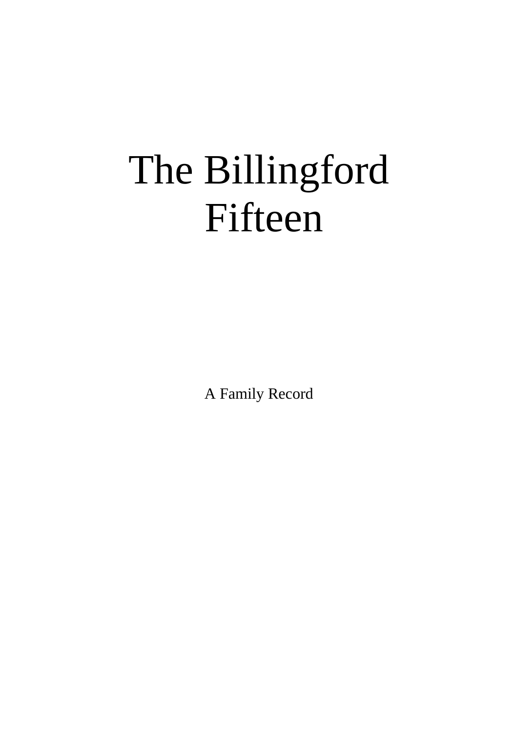# The Billingford Fifteen

A Family Record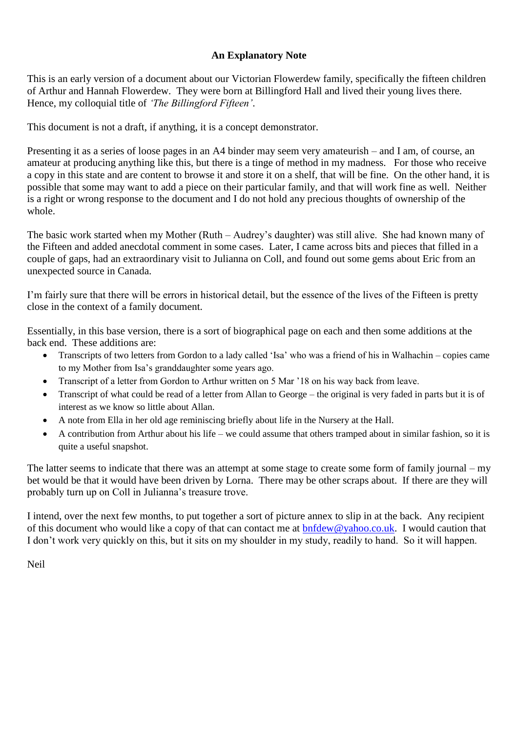#### **An Explanatory Note**

This is an early version of a document about our Victorian Flowerdew family, specifically the fifteen children of Arthur and Hannah Flowerdew. They were born at Billingford Hall and lived their young lives there. Hence, my colloquial title of *'The Billingford Fifteen'*.

This document is not a draft, if anything, it is a concept demonstrator.

Presenting it as a series of loose pages in an A4 binder may seem very amateurish – and I am, of course, an amateur at producing anything like this, but there is a tinge of method in my madness. For those who receive a copy in this state and are content to browse it and store it on a shelf, that will be fine. On the other hand, it is possible that some may want to add a piece on their particular family, and that will work fine as well. Neither is a right or wrong response to the document and I do not hold any precious thoughts of ownership of the whole.

The basic work started when my Mother (Ruth – Audrey's daughter) was still alive. She had known many of the Fifteen and added anecdotal comment in some cases. Later, I came across bits and pieces that filled in a couple of gaps, had an extraordinary visit to Julianna on Coll, and found out some gems about Eric from an unexpected source in Canada.

I'm fairly sure that there will be errors in historical detail, but the essence of the lives of the Fifteen is pretty close in the context of a family document.

Essentially, in this base version, there is a sort of biographical page on each and then some additions at the back end. These additions are:

- Transcripts of two letters from Gordon to a lady called 'Isa' who was a friend of his in Walhachin copies came to my Mother from Isa's granddaughter some years ago.
- Transcript of a letter from Gordon to Arthur written on 5 Mar '18 on his way back from leave.
- Transcript of what could be read of a letter from Allan to George the original is very faded in parts but it is of interest as we know so little about Allan.
- A note from Ella in her old age reminiscing briefly about life in the Nursery at the Hall.
- A contribution from Arthur about his life we could assume that others tramped about in similar fashion, so it is quite a useful snapshot.

The latter seems to indicate that there was an attempt at some stage to create some form of family journal – my bet would be that it would have been driven by Lorna. There may be other scraps about. If there are they will probably turn up on Coll in Julianna's treasure trove.

I intend, over the next few months, to put together a sort of picture annex to slip in at the back. Any recipient of this document who would like a copy of that can contact me at [bnfdew@yahoo.co.uk.](mailto:bnfdew@yahoo.co.uk) I would caution that I don't work very quickly on this, but it sits on my shoulder in my study, readily to hand. So it will happen.

Neil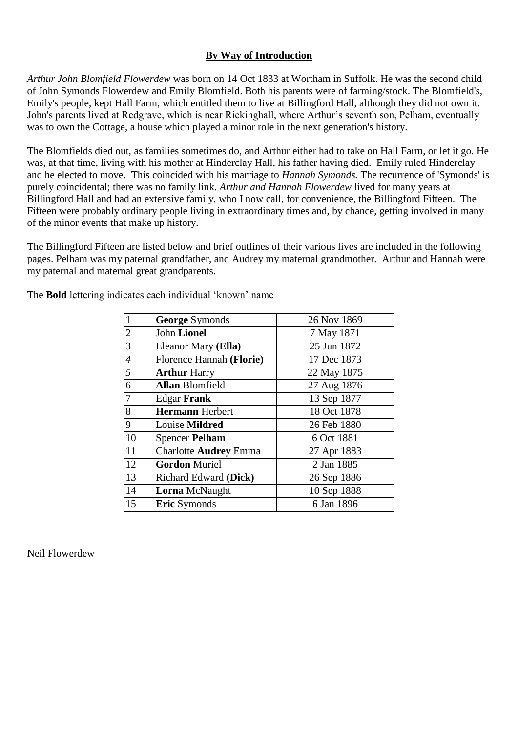#### **By Way of Introduction**

*Arthur John Blomfield Flowerdew* was born on 14 Oct 1833 at Wortham in Suffolk. He was the second child of John Symonds Flowerdew and Emily Blomfield. Both his parents were of farming/stock. The Blomfield's, Emily's people, kept Hall Farm, which entitled them to live at Billingford Hall, although they did not own it. John's parents lived at Redgrave, which is near Rickinghall, where Arthur's seventh son, Pelham, eventually was to own the Cottage, a house which played a minor role in the next generation's history.

The Blomfields died out, as families sometimes do, and Arthur either had to take on Hall Farm, or let it go. He was, at that time, living with his mother at Hinderclay Hall, his father having died. Emily ruled Hinderclay and he elected to move. This coincided with his marriage to *Hannah Symonds.* The recurrence of 'Symonds' is purely coincidental; there was no family link. *Arthur and Hannah Flowerdew* lived for many years at Billingford Hall and had an extensive family, who I now call, for convenience, the Billingford Fifteen. The Fifteen were probably ordinary people living in extraordinary times and, by chance, getting involved in many of the minor events that make up history.

The Billingford Fifteen are listed below and brief outlines of their various lives are included in the following pages. Pelham was my paternal grandfather, and Audrey my maternal grandmother. Arthur and Hannah were my paternal and maternal great grandparents.

| $\mathbf{1}$   | <b>George Symonds</b>        | 26 Nov 1869 |
|----------------|------------------------------|-------------|
| $\overline{2}$ | <b>John Lionel</b>           | 7 May 1871  |
| 3              | Eleanor Mary (Ella)          | 25 Jun 1872 |
| $\overline{4}$ | Florence Hannah (Florie)     | 17 Dec 1873 |
| 5              | <b>Arthur Harry</b>          | 22 May 1875 |
| 6              | <b>Allan Blomfield</b>       | 27 Aug 1876 |
| $\overline{7}$ | <b>Edgar Frank</b>           | 13 Sep 1877 |
| 8              | <b>Hermann</b> Herbert       | 18 Oct 1878 |
| 9              | Louise Mildred               | 26 Feb 1880 |
| 10             | <b>Spencer Pelham</b>        | 6 Oct 1881  |
| 11             | <b>Charlotte Audrey Emma</b> | 27 Apr 1883 |
| 12             | <b>Gordon Muriel</b>         | 2 Jan 1885  |
| 13             | Richard Edward (Dick)        | 26 Sep 1886 |
| 14             | <b>Lorna</b> McNaught        | 10 Sep 1888 |
| 15             | <b>Eric</b> Symonds          | 6 Jan 1896  |

The **Bold** lettering indicates each individual 'known' name

Neil Flowerdew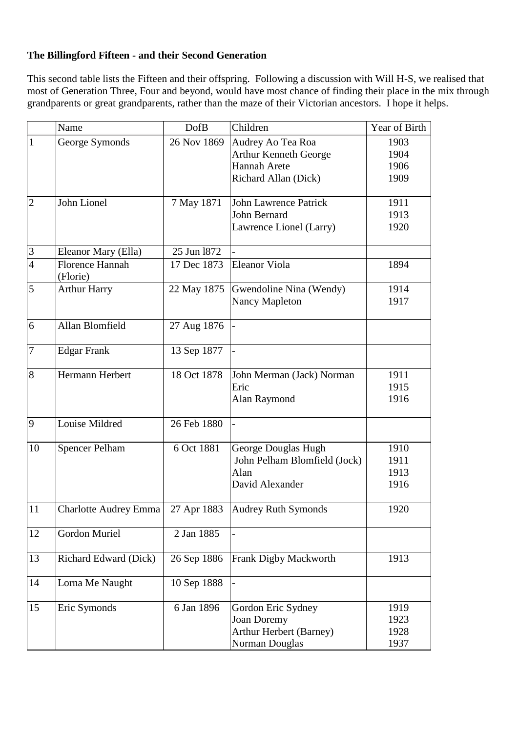#### **The Billingford Fifteen - and their Second Generation**

This second table lists the Fifteen and their offspring. Following a discussion with Will H-S, we realised that most of Generation Three, Four and beyond, would have most chance of finding their place in the mix through grandparents or great grandparents, rather than the maze of their Victorian ancestors. I hope it helps.

|                  | Name                               | <b>DofB</b> | Children                                                                                         | Year of Birth                |
|------------------|------------------------------------|-------------|--------------------------------------------------------------------------------------------------|------------------------------|
| $\mathbf{1}$     | George Symonds                     | 26 Nov 1869 | Audrey Ao Tea Roa<br><b>Arthur Kenneth George</b><br><b>Hannah Arete</b><br>Richard Allan (Dick) | 1903<br>1904<br>1906<br>1909 |
| $\overline{2}$   | John Lionel                        | 7 May 1871  | <b>John Lawrence Patrick</b><br><b>John Bernard</b><br>Lawrence Lionel (Larry)                   | 1911<br>1913<br>1920         |
| 3                | Eleanor Mary (Ella)                | 25 Jun 1872 |                                                                                                  |                              |
| $\overline{4}$   | <b>Florence Hannah</b><br>(Florie) | 17 Dec 1873 | <b>Eleanor Viola</b>                                                                             | 1894                         |
| 5                | <b>Arthur Harry</b>                | 22 May 1875 | Gwendoline Nina (Wendy)<br><b>Nancy Mapleton</b>                                                 | 1914<br>1917                 |
| 6                | Allan Blomfield                    | 27 Aug 1876 |                                                                                                  |                              |
| $\boldsymbol{7}$ | <b>Edgar Frank</b>                 | 13 Sep 1877 |                                                                                                  |                              |
| 8                | Hermann Herbert                    | 18 Oct 1878 | John Merman (Jack) Norman<br>Eric<br>Alan Raymond                                                | 1911<br>1915<br>1916         |
| 9                | Louise Mildred                     | 26 Feb 1880 | $\overline{a}$                                                                                   |                              |
| 10               | <b>Spencer Pelham</b>              | 6 Oct 1881  | George Douglas Hugh<br>John Pelham Blomfield (Jock)<br>Alan<br>David Alexander                   | 1910<br>1911<br>1913<br>1916 |
| 11               | Charlotte Audrey Emma              |             | 27 Apr 1883 Audrey Ruth Symonds                                                                  | 1920                         |
| 12               | Gordon Muriel                      | 2 Jan 1885  | $\frac{1}{2}$                                                                                    |                              |
| 13               | Richard Edward (Dick)              | 26 Sep 1886 | Frank Digby Mackworth                                                                            | 1913                         |
| 14               | Lorna Me Naught                    | 10 Sep 1888 |                                                                                                  |                              |
| 15               | Eric Symonds                       | 6 Jan 1896  | Gordon Eric Sydney<br><b>Joan Doremy</b><br>Arthur Herbert (Barney)<br>Norman Douglas            | 1919<br>1923<br>1928<br>1937 |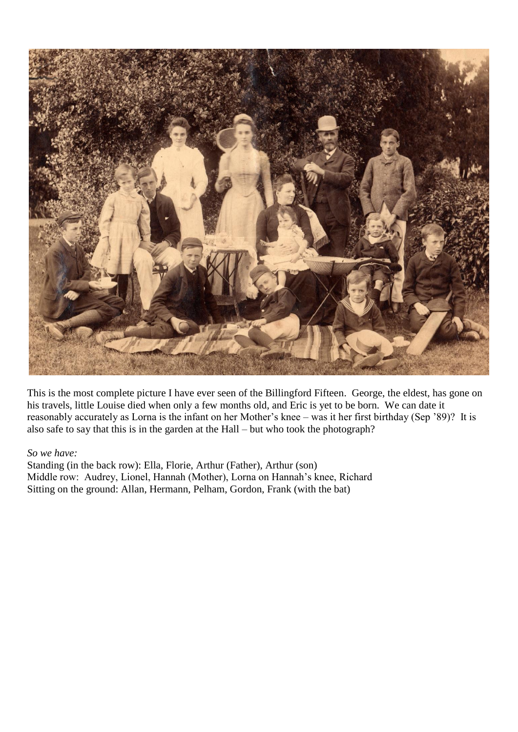

This is the most complete picture I have ever seen of the Billingford Fifteen. George, the eldest, has gone on his travels, little Louise died when only a few months old, and Eric is yet to be born. We can date it reasonably accurately as Lorna is the infant on her Mother's knee – was it her first birthday (Sep '89)? It is also safe to say that this is in the garden at the Hall – but who took the photograph?

#### *So we have:*

Standing (in the back row): Ella, Florie, Arthur (Father), Arthur (son) Middle row: Audrey, Lionel, Hannah (Mother), Lorna on Hannah's knee, Richard Sitting on the ground: Allan, Hermann, Pelham, Gordon, Frank (with the bat)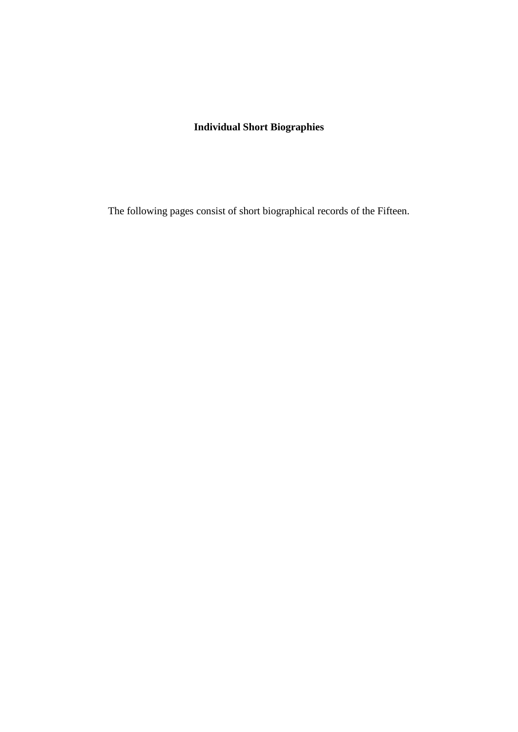#### **Individual Short Biographies**

The following pages consist of short biographical records of the Fifteen.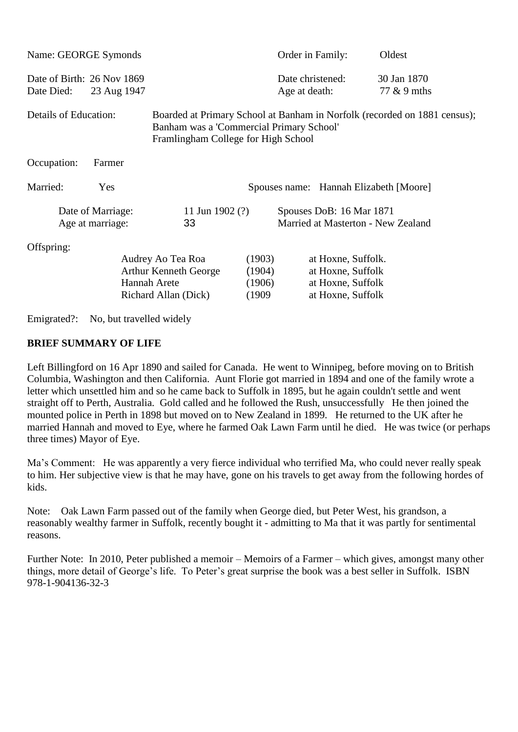| Name: GEORGE Symonds                     |                   |                                                                                                                                                              |                                      | Order in Family:                                                                  | Oldest                     |
|------------------------------------------|-------------------|--------------------------------------------------------------------------------------------------------------------------------------------------------------|--------------------------------------|-----------------------------------------------------------------------------------|----------------------------|
| Date of Birth: 26 Nov 1869<br>Date Died: | 23 Aug 1947       |                                                                                                                                                              |                                      | Date christened:<br>Age at death:                                                 | 30 Jan 1870<br>77 & 9 mths |
| Details of Education:                    |                   | Boarded at Primary School at Banham in Norfolk (recorded on 1881 census);<br>Banham was a 'Commercial Primary School'<br>Framlingham College for High School |                                      |                                                                                   |                            |
| Occupation:                              | Farmer            |                                                                                                                                                              |                                      |                                                                                   |                            |
| Married:                                 | Yes               |                                                                                                                                                              |                                      | Spouses name: Hannah Elizabeth [Moore]                                            |                            |
|                                          | Date of Marriage: | 11 Jun 1902 $(?)$                                                                                                                                            |                                      | Spouses DoB: 16 Mar 1871                                                          |                            |
|                                          | Age at marriage:  | 33                                                                                                                                                           |                                      | Married at Masterton - New Zealand                                                |                            |
| Offspring:                               |                   |                                                                                                                                                              |                                      |                                                                                   |                            |
|                                          |                   | Audrey Ao Tea Roa<br><b>Arthur Kenneth George</b><br><b>Hannah Arete</b><br>Richard Allan (Dick)                                                             | (1903)<br>(1904)<br>(1906)<br>(1909) | at Hoxne, Suffolk.<br>at Hoxne, Suffolk<br>at Hoxne, Suffolk<br>at Hoxne, Suffolk |                            |

Emigrated?: No, but travelled widely

#### **BRIEF SUMMARY OF LIFE**

Left Billingford on 16 Apr 1890 and sailed for Canada. He went to Winnipeg, before moving on to British Columbia, Washington and then California. Aunt Florie got married in 1894 and one of the family wrote a letter which unsettled him and so he came back to Suffolk in 1895, but he again couldn't settle and went straight off to Perth, Australia. Gold called and he followed the Rush, unsuccessfully He then joined the mounted police in Perth in 1898 but moved on to New Zealand in 1899. He returned to the UK after he married Hannah and moved to Eye, where he farmed Oak Lawn Farm until he died. He was twice (or perhaps three times) Mayor of Eye.

Ma's Comment: He was apparently a very fierce individual who terrified Ma, who could never really speak to him. Her subjective view is that he may have, gone on his travels to get away from the following hordes of kids.

Note: Oak Lawn Farm passed out of the family when George died, but Peter West, his grandson, a reasonably wealthy farmer in Suffolk, recently bought it - admitting to Ma that it was partly for sentimental reasons.

Further Note: In 2010, Peter published a memoir – Memoirs of a Farmer – which gives, amongst many other things, more detail of George's life. To Peter's great surprise the book was a best seller in Suffolk. ISBN 978-1-904136-32-3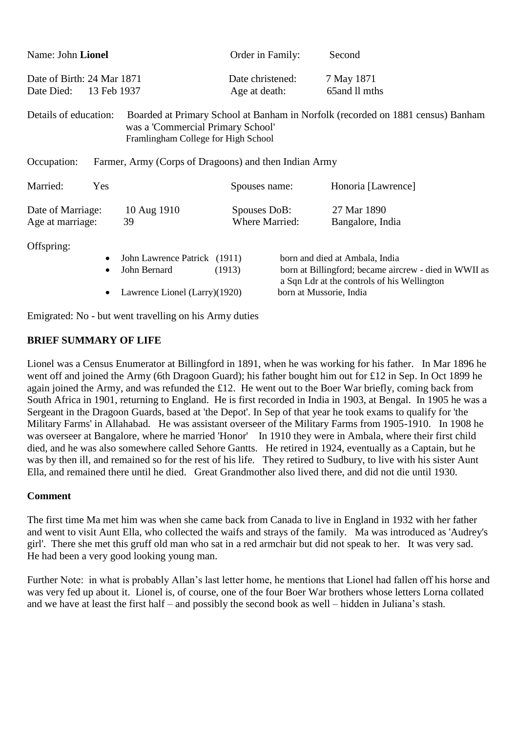| Name: John Lionel                                                                                 |                        |                                                                               | Order in Family:                      |                                                                                 | Second                                                                                                                                                            |
|---------------------------------------------------------------------------------------------------|------------------------|-------------------------------------------------------------------------------|---------------------------------------|---------------------------------------------------------------------------------|-------------------------------------------------------------------------------------------------------------------------------------------------------------------|
| Date of Birth: 24 Mar 1871<br>Date Died:<br>13 Feb 1937                                           |                        | Date christened:<br>Age at death:                                             |                                       | 7 May 1871<br>65 and 11 mths                                                    |                                                                                                                                                                   |
| Details of education:<br>was a 'Commercial Primary School'<br>Framlingham College for High School |                        |                                                                               |                                       | Boarded at Primary School at Banham in Norfolk (recorded on 1881 census) Banham |                                                                                                                                                                   |
| Occupation:<br>Farmer, Army (Corps of Dragoons) and then Indian Army                              |                        |                                                                               |                                       |                                                                                 |                                                                                                                                                                   |
| Married:                                                                                          | Yes                    |                                                                               | Spouses name:                         |                                                                                 | Honoria [Lawrence]                                                                                                                                                |
| Date of Marriage:<br>Age at marriage:                                                             |                        | 10 Aug 1910<br>39                                                             | Spouses DoB:<br><b>Where Married:</b> |                                                                                 | 27 Mar 1890<br>Bangalore, India                                                                                                                                   |
| Offspring:                                                                                        | $\bullet$<br>$\bullet$ | John Lawrence Patrick (1911)<br>John Bernard<br>Lawrence Lionel (Larry)(1920) | (1913)                                |                                                                                 | born and died at Ambala, India<br>born at Billingford; became aircrew - died in WWII as<br>a Sqn Ldr at the controls of his Wellington<br>born at Mussorie, India |

Emigrated: No - but went travelling on his Army duties

#### **BRIEF SUMMARY OF LIFE**

Lionel was a Census Enumerator at Billingford in 1891, when he was working for his father. In Mar 1896 he went off and joined the Army (6th Dragoon Guard); his father bought him out for £12 in Sep. In Oct 1899 he again joined the Army, and was refunded the £12. He went out to the Boer War briefly, coming back from South Africa in 1901, returning to England. He is first recorded in India in 1903, at Bengal. In 1905 he was a Sergeant in the Dragoon Guards, based at 'the Depot'. In Sep of that year he took exams to qualify for 'the Military Farms' in Allahabad. He was assistant overseer of the Military Farms from 1905-1910. In 1908 he was overseer at Bangalore, where he married 'Honor' In 1910 they were in Ambala, where their first child died, and he was also somewhere called Sehore Gantts. He retired in 1924, eventually as a Captain, but he was by then ill, and remained so for the rest of his life. They retired to Sudbury, to live with his sister Aunt Ella, and remained there until he died. Great Grandmother also lived there, and did not die until 1930.

#### **Comment**

The first time Ma met him was when she came back from Canada to live in England in 1932 with her father and went to visit Aunt Ella, who collected the waifs and strays of the family. Ma was introduced as 'Audrey's girl'. There she met this gruff old man who sat in a red armchair but did not speak to her. It was very sad. He had been a very good looking young man.

Further Note: in what is probably Allan's last letter home, he mentions that Lionel had fallen off his horse and was very fed up about it. Lionel is, of course, one of the four Boer War brothers whose letters Lorna collated and we have at least the first half – and possibly the second book as well – hidden in Juliana's stash.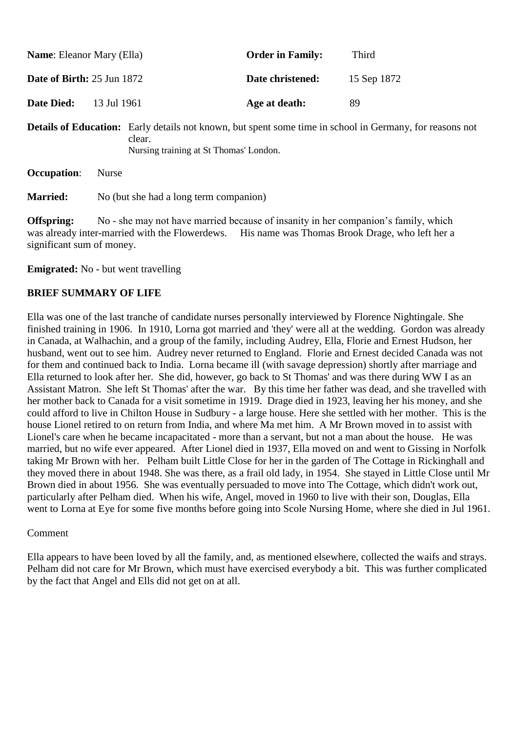| <b>Name:</b> Eleanor Mary (Ella)  | <b>Order in Family:</b> | Third       |
|-----------------------------------|-------------------------|-------------|
| <b>Date of Birth:</b> 25 Jun 1872 | Date christened:        | 15 Sep 1872 |
| <b>Date Died:</b><br>13 Jul 1961  | Age at death:           | 89          |

**Details of Education:** Early details not known, but spent some time in school in Germany, for reasons not clear. Nursing training at St Thomas' London.

| <b>Occupation:</b> | <b>Nurse</b> |  |
|--------------------|--------------|--|
| Morriod.           | No (but she  |  |

**Married:** No (but she had a long term companion)

**Offspring:** No - she may not have married because of insanity in her companion's family, which was already inter-married with the Flowerdews. His name was Thomas Brook Drage, who left her a significant sum of money.

#### **Emigrated:** No - but went travelling

#### **BRIEF SUMMARY OF LIFE**

Ella was one of the last tranche of candidate nurses personally interviewed by Florence Nightingale. She finished training in 1906. In 1910, Lorna got married and 'they' were all at the wedding. Gordon was already in Canada, at Walhachin, and a group of the family, including Audrey, Ella, Florie and Ernest Hudson, her husband, went out to see him. Audrey never returned to England. Florie and Ernest decided Canada was not for them and continued back to India. Lorna became ill (with savage depression) shortly after marriage and Ella returned to look after her. She did, however, go back to St Thomas' and was there during WW I as an Assistant Matron. She left St Thomas' after the war. By this time her father was dead, and she travelled with her mother back to Canada for a visit sometime in 1919. Drage died in 1923, leaving her his money, and she could afford to live in Chilton House in Sudbury - a large house. Here she settled with her mother. This is the house Lionel retired to on return from India, and where Ma met him. A Mr Brown moved in to assist with Lionel's care when he became incapacitated - more than a servant, but not a man about the house. He was married, but no wife ever appeared. After Lionel died in 1937, Ella moved on and went to Gissing in Norfolk taking Mr Brown with her. Pelham built Little Close for her in the garden of The Cottage in Rickinghall and they moved there in about 1948. She was there, as a frail old lady, in 1954. She stayed in Little Close until Mr Brown died in about 1956. She was eventually persuaded to move into The Cottage, which didn't work out, particularly after Pelham died. When his wife, Angel, moved in 1960 to live with their son, Douglas, Ella went to Lorna at Eye for some five months before going into Scole Nursing Home, where she died in Jul 1961.

#### Comment

Ella appears to have been loved by all the family, and, as mentioned elsewhere, collected the waifs and strays. Pelham did not care for Mr Brown, which must have exercised everybody a bit. This was further complicated by the fact that Angel and Ells did not get on at all.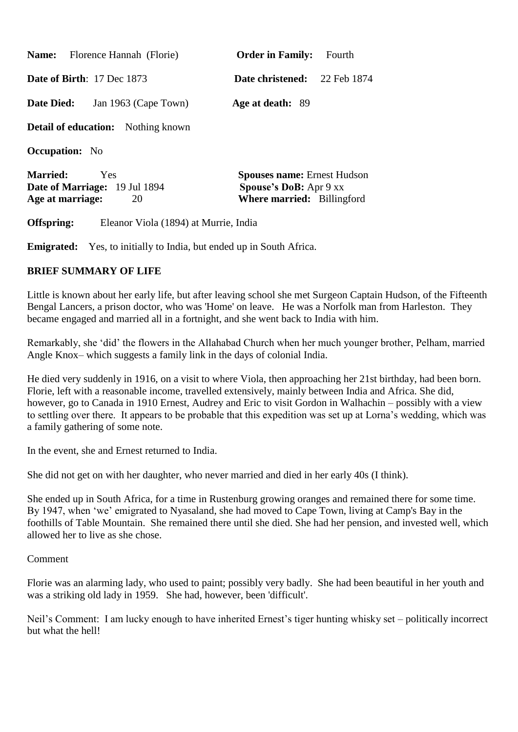| <b>Name:</b> Florence Hannah (Florie)     | <b>Order in Family:</b><br>Fourth  |
|-------------------------------------------|------------------------------------|
| <b>Date of Birth:</b> 17 Dec $1873$       | 22 Feb 1874<br>Date christened:    |
| <b>Date Died:</b><br>Jan 1963 (Cape Town) | Age at death: 89                   |
| <b>Detail of education:</b> Nothing known |                                    |
| <b>Occupation:</b> No                     |                                    |
| <b>Married:</b><br>Yes                    | <b>Spouses name: Ernest Hudson</b> |
| <b>Date of Marriage:</b> 19 Jul 1894      | <b>Spouse's DoB:</b> Apr 9 xx      |
| Age at marriage:<br>20                    | <b>Where married:</b> Billingford  |

**Offspring:** Eleanor Viola (1894) at Murrie, India

**Emigrated:** Yes, to initially to India, but ended up in South Africa.

#### **BRIEF SUMMARY OF LIFE**

Little is known about her early life, but after leaving school she met Surgeon Captain Hudson, of the Fifteenth Bengal Lancers, a prison doctor, who was 'Home' on leave. He was a Norfolk man from Harleston. They became engaged and married all in a fortnight, and she went back to India with him.

Remarkably, she 'did' the flowers in the Allahabad Church when her much younger brother, Pelham, married Angle Knox– which suggests a family link in the days of colonial India.

He died very suddenly in 1916, on a visit to where Viola, then approaching her 21st birthday, had been born. Florie, left with a reasonable income, travelled extensively, mainly between India and Africa. She did, however, go to Canada in 1910 Ernest, Audrey and Eric to visit Gordon in Walhachin – possibly with a view to settling over there. It appears to be probable that this expedition was set up at Lorna's wedding, which was a family gathering of some note.

In the event, she and Ernest returned to India.

She did not get on with her daughter, who never married and died in her early 40s (I think).

She ended up in South Africa, for a time in Rustenburg growing oranges and remained there for some time. By 1947, when 'we' emigrated to Nyasaland, she had moved to Cape Town, living at Camp's Bay in the foothills of Table Mountain. She remained there until she died. She had her pension, and invested well, which allowed her to live as she chose.

#### Comment

Florie was an alarming lady, who used to paint; possibly very badly. She had been beautiful in her youth and was a striking old lady in 1959. She had, however, been 'difficult'.

Neil's Comment: I am lucky enough to have inherited Ernest's tiger hunting whisky set – politically incorrect but what the hell!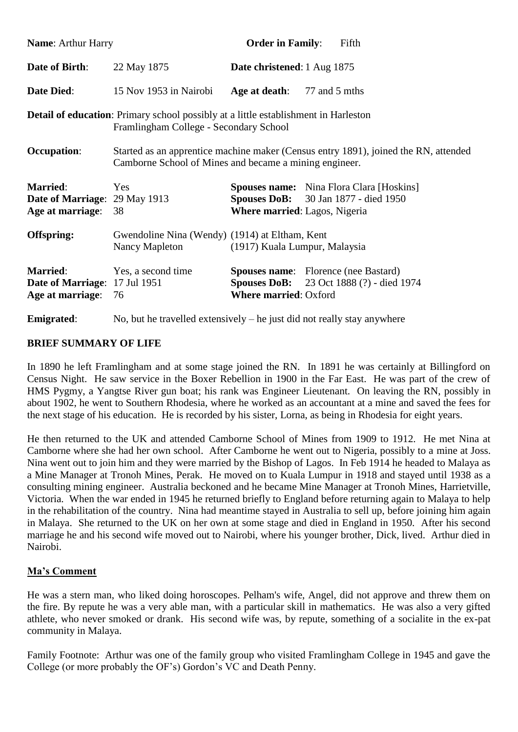| <b>Name: Arthur Harry</b>                                                   |                                                                                                                                      | <b>Order in Family:</b>                                                             | Fifth                                                                               |
|-----------------------------------------------------------------------------|--------------------------------------------------------------------------------------------------------------------------------------|-------------------------------------------------------------------------------------|-------------------------------------------------------------------------------------|
| Date of Birth:                                                              | 22 May 1875                                                                                                                          | Date christened: 1 Aug 1875                                                         |                                                                                     |
| <b>Date Died:</b>                                                           | 15 Nov 1953 in Nairobi                                                                                                               | Age at death: 77 and 5 mths                                                         |                                                                                     |
|                                                                             | <b>Detail of education:</b> Primary school possibly at a little establishment in Harleston<br>Framlingham College - Secondary School |                                                                                     |                                                                                     |
| <b>Occupation:</b>                                                          | Camborne School of Mines and became a mining engineer.                                                                               |                                                                                     | Started as an apprentice machine maker (Census entry 1891), joined the RN, attended |
| <b>Married:</b><br><b>Date of Marriage: 29 May 1913</b><br>Age at marriage: | Yes<br>38                                                                                                                            | <b>Spouses DoB:</b> 30 Jan 1877 - died 1950<br><b>Where married:</b> Lagos, Nigeria | <b>Spouses name:</b> Nina Flora Clara [Hoskins]                                     |
| Offspring:                                                                  | Gwendoline Nina (Wendy) (1914) at Eltham, Kent<br>Nancy Mapleton                                                                     | (1917) Kuala Lumpur, Malaysia                                                       |                                                                                     |
| <b>Married:</b><br><b>Date of Marriage: 17 Jul 1951</b><br>Age at marriage: | Yes, a second time<br>76                                                                                                             | <b>Spouses name:</b> Florence (nee Bastard)<br><b>Where married: Oxford</b>         | <b>Spouses DoB:</b> 23 Oct 1888 (?) - died 1974                                     |
| <b>Emigrated:</b>                                                           | No, but he travelled extensively $-$ he just did not really stay anywhere                                                            |                                                                                     |                                                                                     |

In 1890 he left Framlingham and at some stage joined the RN. In 1891 he was certainly at Billingford on Census Night. He saw service in the Boxer Rebellion in 1900 in the Far East. He was part of the crew of HMS Pygmy, a Yangtse River gun boat; his rank was Engineer Lieutenant. On leaving the RN, possibly in about 1902, he went to Southern Rhodesia, where he worked as an accountant at a mine and saved the fees for the next stage of his education. He is recorded by his sister, Lorna, as being in Rhodesia for eight years.

He then returned to the UK and attended Camborne School of Mines from 1909 to 1912. He met Nina at Camborne where she had her own school. After Camborne he went out to Nigeria, possibly to a mine at Joss. Nina went out to join him and they were married by the Bishop of Lagos. In Feb 1914 he headed to Malaya as a Mine Manager at Tronoh Mines, Perak. He moved on to Kuala Lumpur in 1918 and stayed until 1938 as a consulting mining engineer. Australia beckoned and he became Mine Manager at Tronoh Mines, Harrietville, Victoria. When the war ended in 1945 he returned briefly to England before returning again to Malaya to help in the rehabilitation of the country. Nina had meantime stayed in Australia to sell up, before joining him again in Malaya. She returned to the UK on her own at some stage and died in England in 1950. After his second marriage he and his second wife moved out to Nairobi, where his younger brother, Dick, lived. Arthur died in Nairobi.

#### **Ma's Comment**

He was a stern man, who liked doing horoscopes. Pelham's wife, Angel, did not approve and threw them on the fire. By repute he was a very able man, with a particular skill in mathematics. He was also a very gifted athlete, who never smoked or drank. His second wife was, by repute, something of a socialite in the ex-pat community in Malaya.

Family Footnote: Arthur was one of the family group who visited Framlingham College in 1945 and gave the College (or more probably the OF's) Gordon's VC and Death Penny.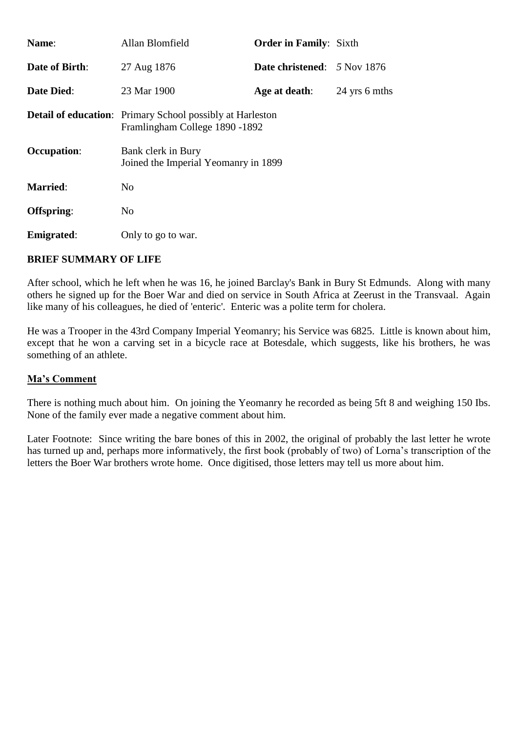| <b>Name:</b>                     | Allan Blomfield                                                                                     | <b>Order in Family: Sixth</b>                 |               |
|----------------------------------|-----------------------------------------------------------------------------------------------------|-----------------------------------------------|---------------|
| <b>Date of Birth:</b>            | 27 Aug 1876                                                                                         | <b>Date christened:</b> $5 \text{ Nov } 1876$ |               |
| <b>Date Died:</b><br>23 Mar 1900 |                                                                                                     | Age at death:                                 | 24 yrs 6 mths |
|                                  | <b>Detail of education:</b> Primary School possibly at Harleston<br>Framlingham College 1890 - 1892 |                                               |               |
| <b>Occupation:</b>               | Bank clerk in Bury<br>Joined the Imperial Yeomanry in 1899                                          |                                               |               |
| <b>Married:</b>                  | N <sub>0</sub>                                                                                      |                                               |               |
| Offspring:                       | N <sub>0</sub>                                                                                      |                                               |               |
| <b>Emigrated:</b>                | Only to go to war.                                                                                  |                                               |               |

After school, which he left when he was 16, he joined Barclay's Bank in Bury St Edmunds. Along with many others he signed up for the Boer War and died on service in South Africa at Zeerust in the Transvaal. Again like many of his colleagues, he died of 'enteric'. Enteric was a polite term for cholera.

He was a Trooper in the 43rd Company Imperial Yeomanry; his Service was 6825. Little is known about him, except that he won a carving set in a bicycle race at Botesdale, which suggests, like his brothers, he was something of an athlete.

#### **Ma's Comment**

There is nothing much about him. On joining the Yeomanry he recorded as being 5ft 8 and weighing 150 Ibs. None of the family ever made a negative comment about him.

Later Footnote: Since writing the bare bones of this in 2002, the original of probably the last letter he wrote has turned up and, perhaps more informatively, the first book (probably of two) of Lorna's transcription of the letters the Boer War brothers wrote home. Once digitised, those letters may tell us more about him.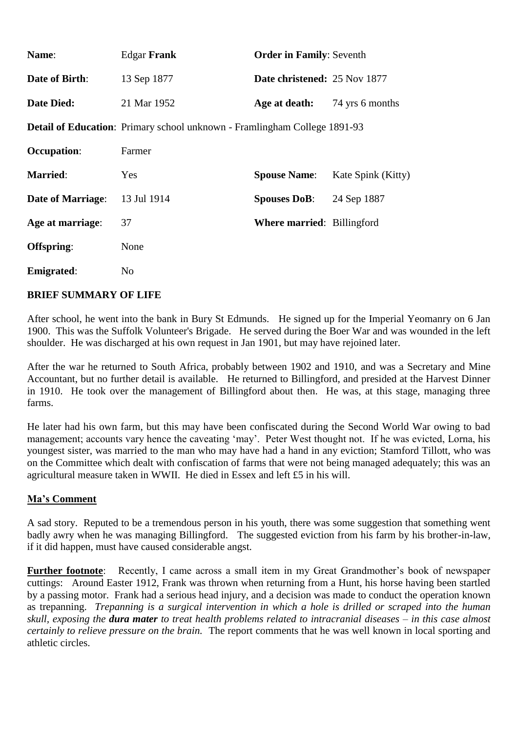| Name:                    | <b>Edgar Frank</b>                                                        | <b>Order in Family: Seventh</b>     |                    |
|--------------------------|---------------------------------------------------------------------------|-------------------------------------|--------------------|
| Date of Birth:           | 13 Sep 1877                                                               | <b>Date christened: 25 Nov 1877</b> |                    |
| Date Died:               | 21 Mar 1952                                                               | Age at death:                       | 74 yrs 6 months    |
|                          | Detail of Education: Primary school unknown - Framlingham College 1891-93 |                                     |                    |
| <b>Occupation:</b>       | Farmer                                                                    |                                     |                    |
| <b>Married:</b>          | Yes                                                                       | <b>Spouse Name:</b>                 | Kate Spink (Kitty) |
| <b>Date of Marriage:</b> | 13 Jul 1914                                                               | <b>Spouses DoB:</b>                 | 24 Sep 1887        |
| Age at marriage:         | 37                                                                        | <b>Where married: Billingford</b>   |                    |
| Offspring:               | None                                                                      |                                     |                    |
| <b>Emigrated:</b>        | N <sub>0</sub>                                                            |                                     |                    |
|                          |                                                                           |                                     |                    |

After school, he went into the bank in Bury St Edmunds. He signed up for the Imperial Yeomanry on 6 Jan 1900. This was the Suffolk Volunteer's Brigade. He served during the Boer War and was wounded in the left shoulder. He was discharged at his own request in Jan 1901, but may have rejoined later.

After the war he returned to South Africa, probably between 1902 and 1910, and was a Secretary and Mine Accountant, but no further detail is available. He returned to Billingford, and presided at the Harvest Dinner in 1910. He took over the management of Billingford about then. He was, at this stage, managing three farms.

He later had his own farm, but this may have been confiscated during the Second World War owing to bad management; accounts vary hence the caveating 'may'. Peter West thought not. If he was evicted, Lorna, his youngest sister, was married to the man who may have had a hand in any eviction; Stamford Tillott, who was on the Committee which dealt with confiscation of farms that were not being managed adequately; this was an agricultural measure taken in WWII. He died in Essex and left £5 in his will.

#### **Ma's Comment**

A sad story. Reputed to be a tremendous person in his youth, there was some suggestion that something went badly awry when he was managing Billingford. The suggested eviction from his farm by his brother-in-law, if it did happen, must have caused considerable angst.

**Further footnote**: Recently, I came across a small item in my Great Grandmother's book of newspaper cuttings: Around Easter 1912, Frank was thrown when returning from a Hunt, his horse having been startled by a passing motor. Frank had a serious head injury, and a decision was made to conduct the operation known as trepanning. *Trepanning is a surgical intervention in which a hole is drilled or scraped into the human skull, exposing the dura mater to treat health problems related to intracranial diseases – in this case almost certainly to relieve pressure on the brain.* The report comments that he was well known in local sporting and athletic circles.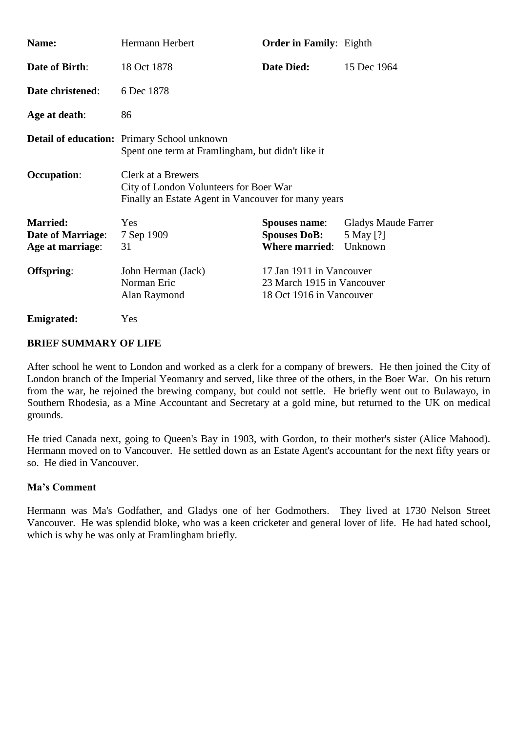| Name:                                                                                                   | Hermann Herbert                                                                                                     | <b>Order in Family:</b> Eighth                                                     |                                                    |  |  |
|---------------------------------------------------------------------------------------------------------|---------------------------------------------------------------------------------------------------------------------|------------------------------------------------------------------------------------|----------------------------------------------------|--|--|
| <b>Date of Birth:</b>                                                                                   | 18 Oct 1878                                                                                                         | <b>Date Died:</b>                                                                  | 15 Dec 1964                                        |  |  |
| Date christened:                                                                                        | 6 Dec 1878                                                                                                          |                                                                                    |                                                    |  |  |
| Age at death:                                                                                           | 86                                                                                                                  |                                                                                    |                                                    |  |  |
| <b>Detail of education:</b> Primary School unknown<br>Spent one term at Framlingham, but didn't like it |                                                                                                                     |                                                                                    |                                                    |  |  |
| <b>Occupation:</b>                                                                                      | Clerk at a Brewers<br>City of London Volunteers for Boer War<br>Finally an Estate Agent in Vancouver for many years |                                                                                    |                                                    |  |  |
| <b>Married:</b><br><b>Date of Marriage:</b><br>Age at marriage:                                         | Yes<br>7 Sep 1909<br>31                                                                                             | <b>Spouses name:</b><br><b>Spouses DoB:</b><br><b>Where married:</b>               | <b>Gladys Maude Farrer</b><br>5 May [?]<br>Unknown |  |  |
| Offspring:<br>John Herman (Jack)<br>Norman Eric<br>Alan Raymond                                         |                                                                                                                     | 17 Jan 1911 in Vancouver<br>23 March 1915 in Vancouver<br>18 Oct 1916 in Vancouver |                                                    |  |  |
| <b>Emigrated:</b>                                                                                       | Yes                                                                                                                 |                                                                                    |                                                    |  |  |

After school he went to London and worked as a clerk for a company of brewers. He then joined the City of London branch of the Imperial Yeomanry and served, like three of the others, in the Boer War. On his return from the war, he rejoined the brewing company, but could not settle. He briefly went out to Bulawayo, in Southern Rhodesia, as a Mine Accountant and Secretary at a gold mine, but returned to the UK on medical grounds.

He tried Canada next, going to Queen's Bay in 1903, with Gordon, to their mother's sister (Alice Mahood). Hermann moved on to Vancouver. He settled down as an Estate Agent's accountant for the next fifty years or so. He died in Vancouver.

#### **Ma's Comment**

Hermann was Ma's Godfather, and Gladys one of her Godmothers. They lived at 1730 Nelson Street Vancouver. He was splendid bloke, who was a keen cricketer and general lover of life. He had hated school, which is why he was only at Framlingham briefly.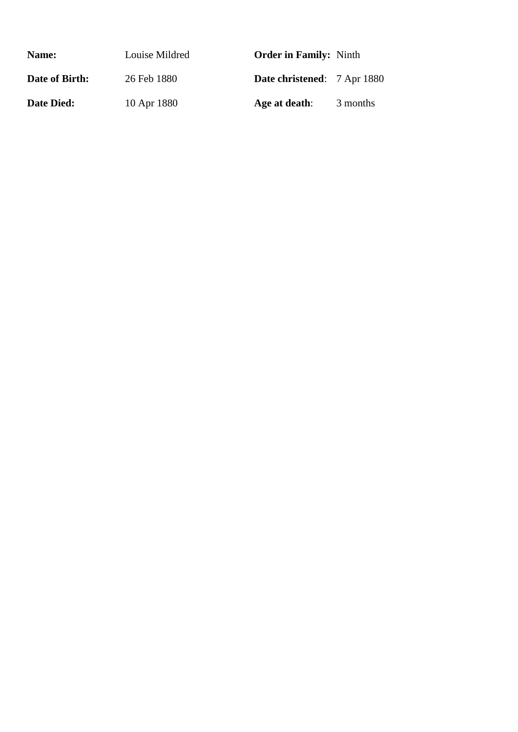| Name:             | Louise Mildred | <b>Order in Family:</b> Ninth      |          |
|-------------------|----------------|------------------------------------|----------|
| Date of Birth:    | 26 Feb 1880    | <b>Date christened:</b> 7 Apr 1880 |          |
| <b>Date Died:</b> | 10 Apr 1880    | Age at death:                      | 3 months |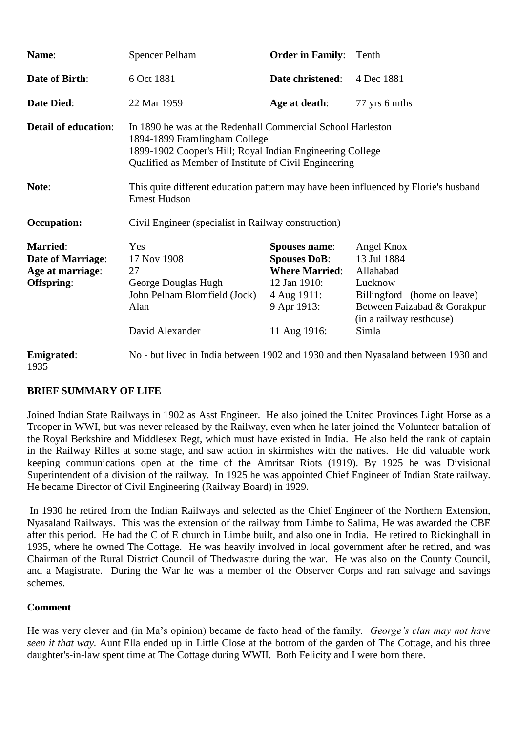| Name:                                                                         | <b>Spencer Pelham</b>                                                                                                                                                                                              | <b>Order in Family:</b>                                                                                                            | Tenth                                                                                                                                                |
|-------------------------------------------------------------------------------|--------------------------------------------------------------------------------------------------------------------------------------------------------------------------------------------------------------------|------------------------------------------------------------------------------------------------------------------------------------|------------------------------------------------------------------------------------------------------------------------------------------------------|
| <b>Date of Birth:</b>                                                         | 6 Oct 1881                                                                                                                                                                                                         | Date christened:                                                                                                                   | 4 Dec 1881                                                                                                                                           |
| <b>Date Died:</b>                                                             | 22 Mar 1959                                                                                                                                                                                                        | Age at death:                                                                                                                      | 77 yrs 6 mths                                                                                                                                        |
| <b>Detail of education:</b>                                                   | In 1890 he was at the Redenhall Commercial School Harleston<br>1894-1899 Framlingham College<br>1899-1902 Cooper's Hill; Royal Indian Engineering College<br>Qualified as Member of Institute of Civil Engineering |                                                                                                                                    |                                                                                                                                                      |
| Note:                                                                         | This quite different education pattern may have been influenced by Florie's husband<br><b>Ernest Hudson</b>                                                                                                        |                                                                                                                                    |                                                                                                                                                      |
| <b>Occupation:</b>                                                            | Civil Engineer (specialist in Railway construction)                                                                                                                                                                |                                                                                                                                    |                                                                                                                                                      |
| <b>Married:</b><br><b>Date of Marriage:</b><br>Age at marriage:<br>Offspring: | Yes<br>17 Nov 1908<br>27<br>George Douglas Hugh<br>John Pelham Blomfield (Jock)<br>Alan<br>David Alexander                                                                                                         | <b>Spouses name:</b><br><b>Spouses DoB:</b><br><b>Where Married:</b><br>12 Jan 1910:<br>4 Aug 1911:<br>9 Apr 1913:<br>11 Aug 1916: | Angel Knox<br>13 Jul 1884<br>Allahabad<br>Lucknow<br>Billingford (home on leave)<br>Between Faizabad & Gorakpur<br>(in a railway resthouse)<br>Simla |
| <b>Emigrated:</b><br>1935                                                     |                                                                                                                                                                                                                    |                                                                                                                                    | No - but lived in India between 1902 and 1930 and then Nyasaland between 1930 and                                                                    |

Joined Indian State Railways in 1902 as Asst Engineer. He also joined the United Provinces Light Horse as a Trooper in WWI, but was never released by the Railway, even when he later joined the Volunteer battalion of the Royal Berkshire and Middlesex Regt, which must have existed in India. He also held the rank of captain in the Railway Rifles at some stage, and saw action in skirmishes with the natives. He did valuable work keeping communications open at the time of the Amritsar Riots (1919). By 1925 he was Divisional Superintendent of a division of the railway. In 1925 he was appointed Chief Engineer of Indian State railway. He became Director of Civil Engineering (Railway Board) in 1929.

In 1930 he retired from the Indian Railways and selected as the Chief Engineer of the Northern Extension, Nyasaland Railways. This was the extension of the railway from Limbe to Salima, He was awarded the CBE after this period. He had the C of E church in Limbe built, and also one in India. He retired to Rickinghall in 1935, where he owned The Cottage. He was heavily involved in local government after he retired, and was Chairman of the Rural District Council of Thedwastre during the war. He was also on the County Council, and a Magistrate. During the War he was a member of the Observer Corps and ran salvage and savings schemes.

#### **Comment**

He was very clever and (in Ma's opinion) became de facto head of the family. *George's clan may not have seen it that way.* Aunt Ella ended up in Little Close at the bottom of the garden of The Cottage, and his three daughter's-in-law spent time at The Cottage during WWII. Both Felicity and I were born there.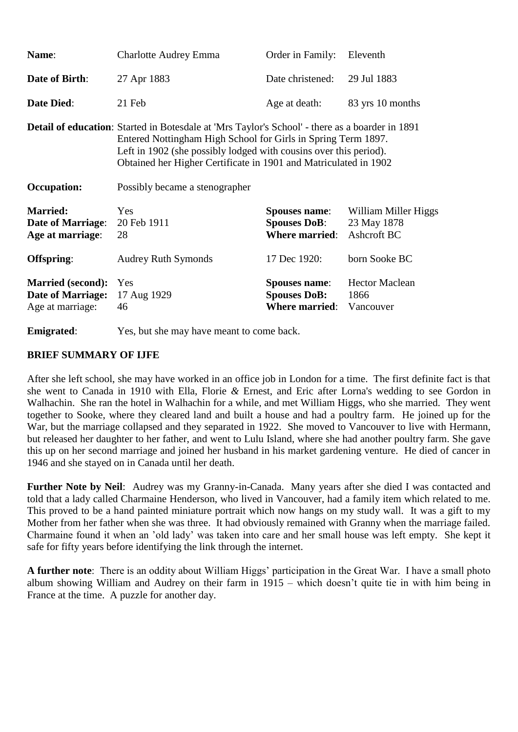| Name:                                                                    | <b>Charlotte Audrey Emma</b>                                                                                                                                                                                                                                                                                     | Order in Family:                                                     | Eleventh                                           |
|--------------------------------------------------------------------------|------------------------------------------------------------------------------------------------------------------------------------------------------------------------------------------------------------------------------------------------------------------------------------------------------------------|----------------------------------------------------------------------|----------------------------------------------------|
| <b>Date of Birth:</b>                                                    | 27 Apr 1883                                                                                                                                                                                                                                                                                                      | Date christened:                                                     | 29 Jul 1883                                        |
| <b>Date Died:</b>                                                        | 21 Feb                                                                                                                                                                                                                                                                                                           | Age at death:                                                        | 83 yrs 10 months                                   |
|                                                                          | <b>Detail of education:</b> Started in Botesdale at 'Mrs Taylor's School' - there as a boarder in 1891<br>Entered Nottingham High School for Girls in Spring Term 1897.<br>Left in 1902 (she possibly lodged with cousins over this period).<br>Obtained her Higher Certificate in 1901 and Matriculated in 1902 |                                                                      |                                                    |
| <b>Occupation:</b>                                                       | Possibly became a stenographer                                                                                                                                                                                                                                                                                   |                                                                      |                                                    |
| <b>Married:</b><br><b>Date of Marriage:</b><br>Age at marriage:          | Yes<br>20 Feb 1911<br>28                                                                                                                                                                                                                                                                                         | <b>Spouses name:</b><br><b>Spouses DoB:</b><br><b>Where married:</b> | William Miller Higgs<br>23 May 1878<br>Ashcroft BC |
| Offspring:                                                               | <b>Audrey Ruth Symonds</b>                                                                                                                                                                                                                                                                                       | 17 Dec 1920:                                                         | born Sooke BC                                      |
| <b>Married (second):</b><br><b>Date of Marriage:</b><br>Age at marriage: | Yes<br>17 Aug 1929<br>46                                                                                                                                                                                                                                                                                         | <b>Spouses name:</b><br><b>Spouses DoB:</b><br><b>Where married:</b> | <b>Hector Maclean</b><br>1866<br>Vancouver         |

**Emigrated:** Yes, but she may have meant to come back.

#### **BRIEF SUMMARY OF IJFE**

After she left school, she may have worked in an office job in London for a time. The first definite fact is that she went to Canada in 1910 with Ella, Florie *&* Ernest, and Eric after Lorna's wedding to see Gordon in Walhachin. She ran the hotel in Walhachin for a while, and met William Higgs, who she married. They went together to Sooke, where they cleared land and built a house and had a poultry farm. He joined up for the War, but the marriage collapsed and they separated in 1922. She moved to Vancouver to live with Hermann, but released her daughter to her father, and went to Lulu Island, where she had another poultry farm. She gave this up on her second marriage and joined her husband in his market gardening venture. He died of cancer in 1946 and she stayed on in Canada until her death.

**Further Note by Neil**: Audrey was my Granny-in-Canada. Many years after she died I was contacted and told that a lady called Charmaine Henderson, who lived in Vancouver, had a family item which related to me. This proved to be a hand painted miniature portrait which now hangs on my study wall. It was a gift to my Mother from her father when she was three. It had obviously remained with Granny when the marriage failed. Charmaine found it when an 'old lady' was taken into care and her small house was left empty. She kept it safe for fifty years before identifying the link through the internet.

**A further note**: There is an oddity about William Higgs' participation in the Great War. I have a small photo album showing William and Audrey on their farm in 1915 – which doesn't quite tie in with him being in France at the time. A puzzle for another day.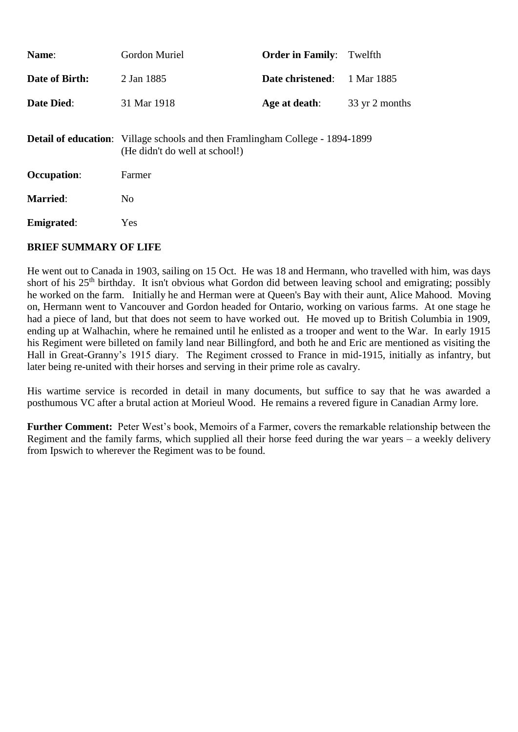| Name:              | Gordon Muriel                                                                                                          | <b>Order in Family:</b> | Twelfth        |
|--------------------|------------------------------------------------------------------------------------------------------------------------|-------------------------|----------------|
| Date of Birth:     | 2 Jan 1885                                                                                                             | Date christened:        | 1 Mar 1885     |
| <b>Date Died:</b>  | 31 Mar 1918                                                                                                            | Age at death:           | 33 yr 2 months |
|                    | <b>Detail of education:</b> Village schools and then Framlingham College - 1894-1899<br>(He didn't do well at school!) |                         |                |
| <b>Occupation:</b> | Farmer                                                                                                                 |                         |                |
| <b>Married:</b>    | N <sub>0</sub>                                                                                                         |                         |                |
| <b>Emigrated:</b>  | Yes                                                                                                                    |                         |                |

He went out to Canada in 1903, sailing on 15 Oct. He was 18 and Hermann, who travelled with him, was days short of his 25<sup>th</sup> birthday. It isn't obvious what Gordon did between leaving school and emigrating; possibly he worked on the farm. Initially he and Herman were at Queen's Bay with their aunt, Alice Mahood. Moving on, Hermann went to Vancouver and Gordon headed for Ontario, working on various farms. At one stage he had a piece of land, but that does not seem to have worked out. He moved up to British Columbia in 1909, ending up at Walhachin, where he remained until he enlisted as a trooper and went to the War. In early 1915 his Regiment were billeted on family land near Billingford, and both he and Eric are mentioned as visiting the Hall in Great-Granny's 1915 diary. The Regiment crossed to France in mid-1915, initially as infantry, but later being re-united with their horses and serving in their prime role as cavalry.

His wartime service is recorded in detail in many documents, but suffice to say that he was awarded a posthumous VC after a brutal action at Morieul Wood. He remains a revered figure in Canadian Army lore.

**Further Comment:** Peter West's book, Memoirs of a Farmer, covers the remarkable relationship between the Regiment and the family farms, which supplied all their horse feed during the war years – a weekly delivery from Ipswich to wherever the Regiment was to be found.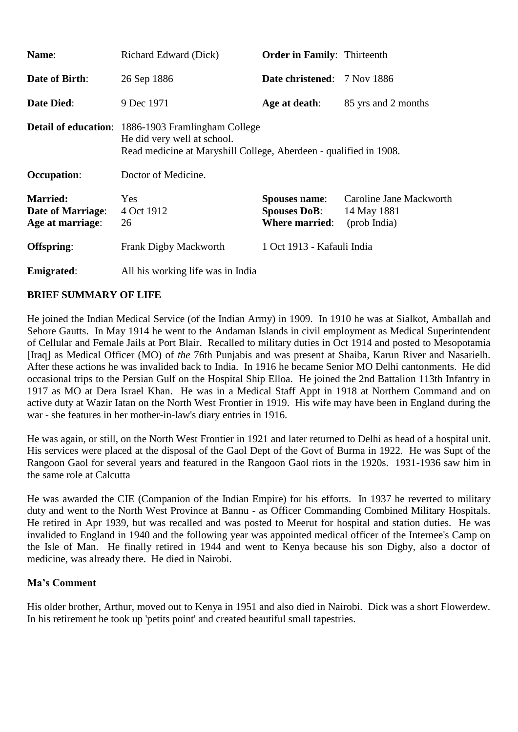| Name:                                                           | Richard Edward (Dick)                                                                                                                                         | <b>Order in Family:</b> Thirteenth                                   |                                                        |
|-----------------------------------------------------------------|---------------------------------------------------------------------------------------------------------------------------------------------------------------|----------------------------------------------------------------------|--------------------------------------------------------|
| <b>Date of Birth:</b>                                           | 26 Sep 1886                                                                                                                                                   | <b>Date christened:</b> 7 Nov 1886                                   |                                                        |
| <b>Date Died:</b>                                               | 9 Dec 1971                                                                                                                                                    | Age at death:                                                        | 85 yrs and 2 months                                    |
|                                                                 | <b>Detail of education:</b> 1886-1903 Framlingham College<br>He did very well at school.<br>Read medicine at Maryshill College, Aberdeen - qualified in 1908. |                                                                      |                                                        |
| <b>Occupation:</b>                                              | Doctor of Medicine.                                                                                                                                           |                                                                      |                                                        |
| <b>Married:</b><br><b>Date of Marriage:</b><br>Age at marriage: | Yes<br>4 Oct 1912<br>26                                                                                                                                       | <b>Spouses name:</b><br><b>Spouses DoB:</b><br><b>Where married:</b> | Caroline Jane Mackworth<br>14 May 1881<br>(prob India) |
| Offspring:                                                      | Frank Digby Mackworth                                                                                                                                         | 1 Oct 1913 - Kafauli India                                           |                                                        |
| <b>Emigrated:</b>                                               | All his working life was in India                                                                                                                             |                                                                      |                                                        |

He joined the Indian Medical Service (of the Indian Army) in 1909. In 1910 he was at Sialkot, Amballah and Sehore Gautts. In May 1914 he went to the Andaman Islands in civil employment as Medical Superintendent of Cellular and Female Jails at Port Blair. Recalled to military duties in Oct 1914 and posted to Mesopotamia [Iraq] as Medical Officer (MO) of *the* 76th Punjabis and was present at Shaiba, Karun River and Nasarielh. After these actions he was invalided back to India. In 1916 he became Senior MO Delhi cantonments. He did occasional trips to the Persian Gulf on the Hospital Ship Elloa. He joined the 2nd Battalion 113th Infantry in 1917 as MO at Dera Israel Khan. He was in a Medical Staff Appt in 1918 at Northern Command and on active duty at Wazir Iatan on the North West Frontier in 1919. His wife may have been in England during the war - she features in her mother-in-law's diary entries in 1916.

He was again, or still, on the North West Frontier in 1921 and later returned to Delhi as head of a hospital unit. His services were placed at the disposal of the Gaol Dept of the Govt of Burma in 1922. He was Supt of the Rangoon Gaol for several years and featured in the Rangoon Gaol riots in the 1920s. 1931-1936 saw him in the same role at Calcutta

He was awarded the CIE (Companion of the Indian Empire) for his efforts. In 1937 he reverted to military duty and went to the North West Province at Bannu - as Officer Commanding Combined Military Hospitals. He retired in Apr 1939, but was recalled and was posted to Meerut for hospital and station duties. He was invalided to England in 1940 and the following year was appointed medical officer of the Internee's Camp on the Isle of Man. He finally retired in 1944 and went to Kenya because his son Digby, also a doctor of medicine, was already there. He died in Nairobi.

#### **Ma's Comment**

His older brother, Arthur, moved out to Kenya in 1951 and also died in Nairobi. Dick was a short Flowerdew. In his retirement he took up 'petits point' and created beautiful small tapestries.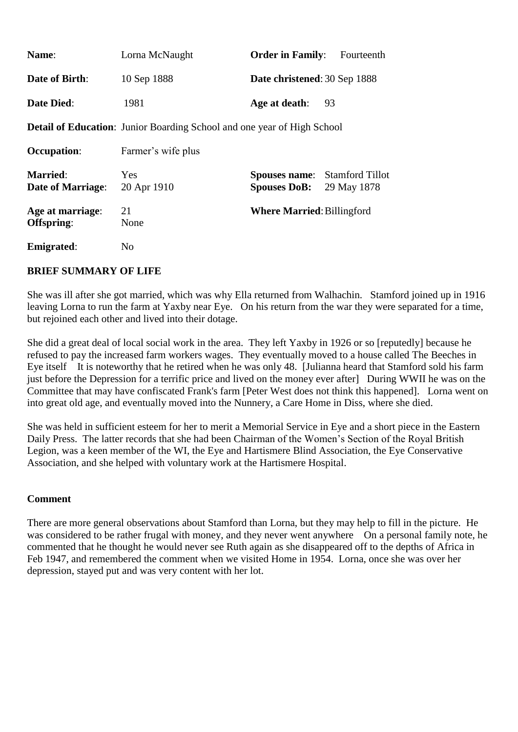| Name:                                       | Lorna McNaught                                                                 | <b>Order in Family:</b>                     | Fourteenth                            |
|---------------------------------------------|--------------------------------------------------------------------------------|---------------------------------------------|---------------------------------------|
| <b>Date of Birth:</b>                       | 10 Sep 1888                                                                    | Date christened: 30 Sep 1888                |                                       |
| <b>Date Died:</b>                           | 1981                                                                           | Age at death:                               | 93                                    |
|                                             | <b>Detail of Education:</b> Junior Boarding School and one year of High School |                                             |                                       |
| <b>Occupation:</b>                          | Farmer's wife plus                                                             |                                             |                                       |
| <b>Married:</b><br><b>Date of Marriage:</b> | <b>Yes</b><br>20 Apr 1910                                                      | <b>Spouses name:</b><br><b>Spouses DoB:</b> | <b>Stamford Tillot</b><br>29 May 1878 |
| Age at marriage:<br>Offspring:              | 21<br>None                                                                     | <b>Where Married: Billingford</b>           |                                       |
| <b>Emigrated:</b>                           | N <sub>o</sub>                                                                 |                                             |                                       |

She was ill after she got married, which was why Ella returned from Walhachin. Stamford joined up in 1916 leaving Lorna to run the farm at Yaxby near Eye. On his return from the war they were separated for a time, but rejoined each other and lived into their dotage.

She did a great deal of local social work in the area. They left Yaxby in 1926 or so [reputedly] because he refused to pay the increased farm workers wages. They eventually moved to a house called The Beeches in Eye itself It is noteworthy that he retired when he was only 48. [Julianna heard that Stamford sold his farm just before the Depression for a terrific price and lived on the money ever after] During WWII he was on the Committee that may have confiscated Frank's farm [Peter West does not think this happened]. Lorna went on into great old age, and eventually moved into the Nunnery, a Care Home in Diss, where she died.

She was held in sufficient esteem for her to merit a Memorial Service in Eye and a short piece in the Eastern Daily Press. The latter records that she had been Chairman of the Women's Section of the Royal British Legion, was a keen member of the WI, the Eye and Hartismere Blind Association, the Eye Conservative Association, and she helped with voluntary work at the Hartismere Hospital.

#### **Comment**

There are more general observations about Stamford than Lorna, but they may help to fill in the picture. He was considered to be rather frugal with money, and they never went anywhere On a personal family note, he commented that he thought he would never see Ruth again as she disappeared off to the depths of Africa in Feb 1947, and remembered the comment when we visited Home in 1954. Lorna, once she was over her depression, stayed put and was very content with her lot.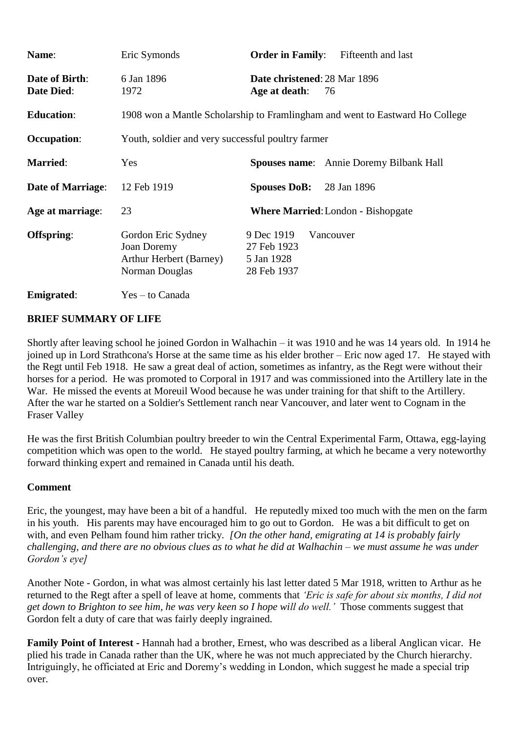| Name:                               | Eric Symonds                                                                          | <b>Order in Family:</b><br>Fifteenth and last                       |  |
|-------------------------------------|---------------------------------------------------------------------------------------|---------------------------------------------------------------------|--|
| Date of Birth:<br><b>Date Died:</b> | 6 Jan 1896<br>1972                                                                    | Date christened: 28 Mar 1896<br>Age at death:<br>76                 |  |
| <b>Education:</b>                   | 1908 won a Mantle Scholarship to Framlingham and went to Eastward Ho College          |                                                                     |  |
| <b>Occupation:</b>                  | Youth, soldier and very successful poultry farmer                                     |                                                                     |  |
| <b>Married:</b>                     | Yes                                                                                   | <b>Spouses name:</b> Annie Doremy Bilbank Hall                      |  |
| <b>Date of Marriage:</b>            | 12 Feb 1919                                                                           | <b>Spouses DoB:</b><br>28 Jan 1896                                  |  |
| Age at marriage:                    | 23                                                                                    | <b>Where Married:</b> London - Bishopgate                           |  |
| Offspring:                          | Gordon Eric Sydney<br>Joan Doremy<br><b>Arthur Herbert (Barney)</b><br>Norman Douglas | 9 Dec 1919<br>Vancouver<br>27 Feb 1923<br>5 Jan 1928<br>28 Feb 1937 |  |
| <b>Emigrated:</b>                   | Yes – to Canada                                                                       |                                                                     |  |

Shortly after leaving school he joined Gordon in Walhachin – it was 1910 and he was 14 years old. In 1914 he joined up in Lord Strathcona's Horse at the same time as his elder brother – Eric now aged 17. He stayed with the Regt until Feb 1918. He saw a great deal of action, sometimes as infantry, as the Regt were without their horses for a period. He was promoted to Corporal in 1917 and was commissioned into the Artillery late in the War. He missed the events at Moreuil Wood because he was under training for that shift to the Artillery. After the war he started on a Soldier's Settlement ranch near Vancouver, and later went to Cognam in the Fraser Valley

He was the first British Columbian poultry breeder to win the Central Experimental Farm, Ottawa, egg-laying competition which was open to the world. He stayed poultry farming, at which he became a very noteworthy forward thinking expert and remained in Canada until his death.

#### **Comment**

Eric, the youngest, may have been a bit of a handful. He reputedly mixed too much with the men on the farm in his youth. His parents may have encouraged him to go out to Gordon. He was a bit difficult to get on with, and even Pelham found him rather tricky. *[On the other hand, emigrating at 14 is probably fairly challenging, and there are no obvious clues as to what he did at Walhachin – we must assume he was under Gordon's eye]*

Another Note - Gordon, in what was almost certainly his last letter dated 5 Mar 1918, written to Arthur as he returned to the Regt after a spell of leave at home, comments that *'Eric is safe for about six months, I did not get down to Brighton to see him, he was very keen so I hope will do well.'* Those comments suggest that Gordon felt a duty of care that was fairly deeply ingrained.

**Family Point of Interest -** Hannah had a brother, Ernest, who was described as a liberal Anglican vicar. He plied his trade in Canada rather than the UK, where he was not much appreciated by the Church hierarchy. Intriguingly, he officiated at Eric and Doremy's wedding in London, which suggest he made a special trip over.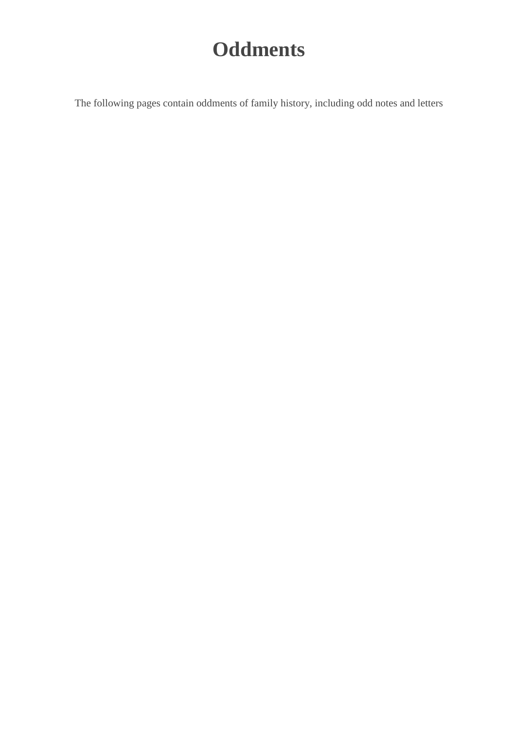## **Oddments**

The following pages contain oddments of family history, including odd notes and letters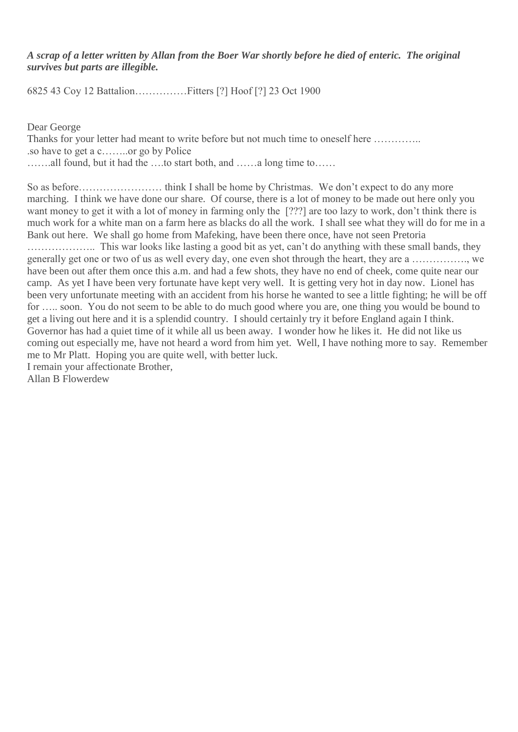*A scrap of a letter written by Allan from the Boer War shortly before he died of enteric. The original survives but parts are illegible.*

6825 43 Coy 12 Battalion……………Fitters [?] Hoof [?] 23 Oct 1900

Dear George

Thanks for your letter had meant to write before but not much time to oneself here ………….. .so have to get a c……..or go by Police …….all found, but it had the ….to start both, and ……a long time to……

So as before…………………… think I shall be home by Christmas. We don't expect to do any more marching. I think we have done our share. Of course, there is a lot of money to be made out here only you want money to get it with a lot of money in farming only the [???] are too lazy to work, don't think there is much work for a white man on a farm here as blacks do all the work. I shall see what they will do for me in a Bank out here. We shall go home from Mafeking, have been there once, have not seen Pretoria ……………….. This war looks like lasting a good bit as yet, can't do anything with these small bands, they generally get one or two of us as well every day, one even shot through the heart, they are a ……………., we have been out after them once this a.m. and had a few shots, they have no end of cheek, come quite near our camp. As yet I have been very fortunate have kept very well. It is getting very hot in day now. Lionel has been very unfortunate meeting with an accident from his horse he wanted to see a little fighting; he will be off for ….. soon. You do not seem to be able to do much good where you are, one thing you would be bound to get a living out here and it is a splendid country. I should certainly try it before England again I think. Governor has had a quiet time of it while all us been away. I wonder how he likes it. He did not like us coming out especially me, have not heard a word from him yet. Well, I have nothing more to say. Remember me to Mr Platt. Hoping you are quite well, with better luck. I remain your affectionate Brother,

Allan B Flowerdew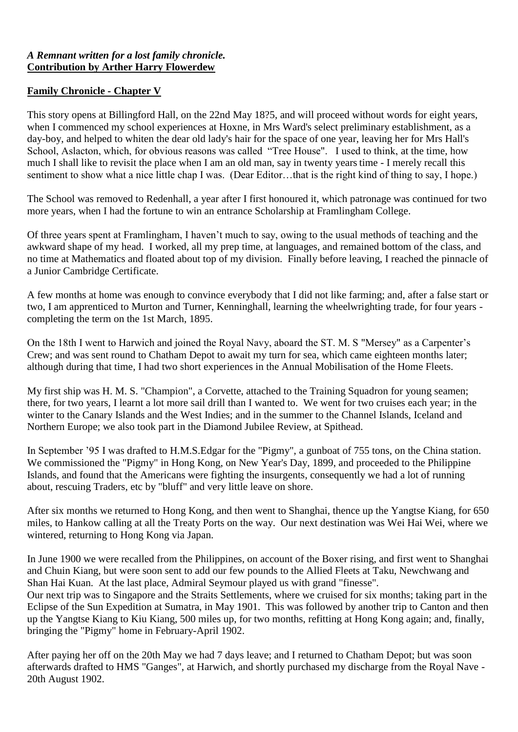#### *A Remnant written for a lost family chronicle.* **Contribution by Arther Harry Flowerdew**

#### **Family Chronicle - Chapter V**

This story opens at Billingford Hall, on the 22nd May 18?5, and will proceed without words for eight years, when I commenced my school experiences at Hoxne, in Mrs Ward's select preliminary establishment, as a day-boy, and helped to whiten the dear old lady's hair for the space of one year, leaving her for Mrs Hall's School, Aslacton, which, for obvious reasons was called "Tree House". I used to think, at the time, how much I shall like to revisit the place when I am an old man, say in twenty yearstime - I merely recall this sentiment to show what a nice little chap I was. (Dear Editor…that is the right kind of thing to say, I hope.)

The School was removed to Redenhall, a year after I first honoured it, which patronage was continued for two more years, when I had the fortune to win an entrance Scholarship at Framlingham College.

Of three years spent at Framlingham, I haven't much to say, owing to the usual methods of teaching and the awkward shape of my head. I worked, all my prep time, at languages, and remained bottom of the class, and no time at Mathematics and floated about top of my division. Finally before leaving, I reached the pinnacle of a Junior Cambridge Certificate.

A few months at home was enough to convince everybody that I did not like farming; and, after a false start or two, I am apprenticed to Murton and Turner, Kenninghall, learning the wheelwrighting trade, for four years completing the term on the 1st March, 1895.

On the 18th I went to Harwich and joined the Royal Navy, aboard the ST. M. S "Mersey" as a Carpenter's Crew; and was sent round to Chatham Depot to await my turn for sea, which came eighteen months later; although during that time, I had two short experiences in the Annual Mobilisation of the Home Fleets.

My first ship was H. M. S. "Champion", a Corvette, attached to the Training Squadron for young seamen; there, for two years, I learnt a lot more sail drill than I wanted to. We went for two cruises each year; in the winter to the Canary Islands and the West Indies; and in the summer to the Channel Islands, Iceland and Northern Europe; we also took part in the Diamond Jubilee Review, at Spithead.

In September '95 I was drafted to H.M.S.Edgar for the "Pigmy", a gunboat of 755 tons, on the China station. We commissioned the "Pigmy" in Hong Kong, on New Year's Day, 1899, and proceeded to the Philippine Islands, and found that the Americans were fighting the insurgents, consequently we had a lot of running about, rescuing Traders, etc by "bluff" and very little leave on shore.

After six months we returned to Hong Kong, and then went to Shanghai, thence up the Yangtse Kiang, for 650 miles, to Hankow calling at all the Treaty Ports on the way. Our next destination was Wei Hai Wei, where we wintered, returning to Hong Kong via Japan.

In June 1900 we were recalled from the Philippines, on account of the Boxer rising, and first went to Shanghai and Chuin Kiang, but were soon sent to add our few pounds to the Allied Fleets at Taku, Newchwang and Shan Hai Kuan. At the last place, Admiral Seymour played us with grand "finesse".

Our next trip was to Singapore and the Straits Settlements, where we cruised for six months; taking part in the Eclipse of the Sun Expedition at Sumatra, in May 1901. This was followed by another trip to Canton and then up the Yangtse Kiang to Kiu Kiang, 500 miles up, for two months, refitting at Hong Kong again; and, finally, bringing the "Pigmy" home in February-April 1902.

After paying her off on the 20th May we had 7 days leave; and I returned to Chatham Depot; but was soon afterwards drafted to HMS "Ganges", at Harwich, and shortly purchased my discharge from the Royal Nave - 20th August 1902.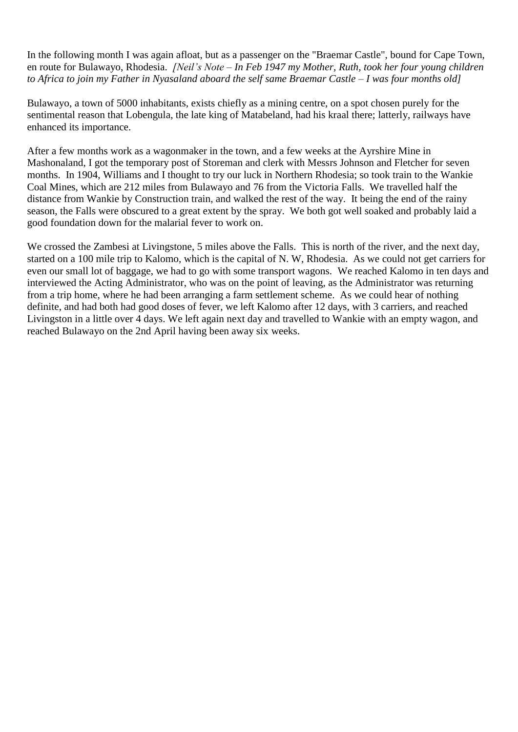In the following month I was again afloat, but as a passenger on the "Braemar Castle", bound for Cape Town, en route for Bulawayo, Rhodesia. *[Neil's Note – In Feb 1947 my Mother, Ruth, took her four young children to Africa to join my Father in Nyasaland aboard the self same Braemar Castle – I was four months old]*

Bulawayo, a town of 5000 inhabitants, exists chiefly as a mining centre, on a spot chosen purely for the sentimental reason that Lobengula, the late king of Matabeland, had his kraal there; latterly, railways have enhanced its importance.

After a few months work as a wagonmaker in the town, and a few weeks at the Ayrshire Mine in Mashonaland, I got the temporary post of Storeman and clerk with Messrs Johnson and Fletcher for seven months. In 1904, Williams and I thought to try our luck in Northern Rhodesia; so took train to the Wankie Coal Mines, which are 212 miles from Bulawayo and 76 from the Victoria Falls. We travelled half the distance from Wankie by Construction train, and walked the rest of the way. It being the end of the rainy season, the Falls were obscured to a great extent by the spray. We both got well soaked and probably laid a good foundation down for the malarial fever to work on.

We crossed the Zambesi at Livingstone, 5 miles above the Falls. This is north of the river, and the next day, started on a 100 mile trip to Kalomo, which is the capital of N. W, Rhodesia. As we could not get carriers for even our small lot of baggage, we had to go with some transport wagons. We reached Kalomo in ten days and interviewed the Acting Administrator, who was on the point of leaving, as the Administrator was returning from a trip home, where he had been arranging a farm settlement scheme. As we could hear of nothing definite, and had both had good doses of fever, we left Kalomo after 12 days, with 3 carriers, and reached Livingston in a little over 4 days. We left again next day and travelled to Wankie with an empty wagon, and reached Bulawayo on the 2nd April having been away six weeks.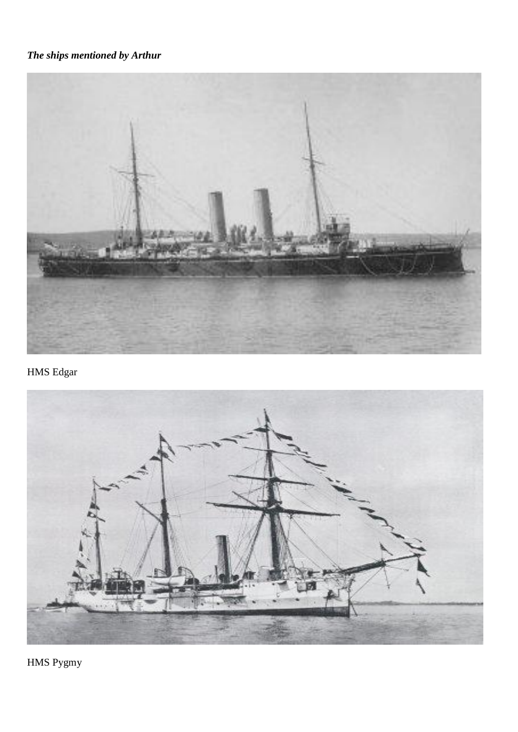### *The ships mentioned by Arthur*



HMS Edgar



HMS Pygmy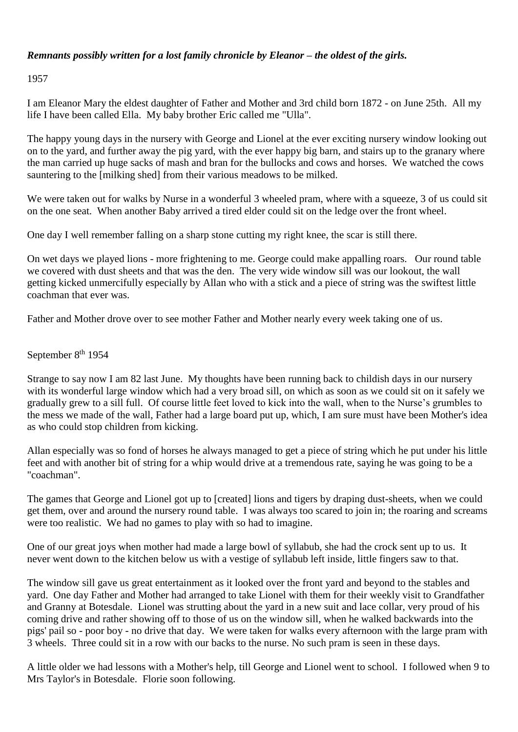#### *Remnants possibly written for a lost family chronicle by Eleanor – the oldest of the girls.*

1957

I am Eleanor Mary the eldest daughter of Father and Mother and 3rd child born 1872 - on June 25th. All my life I have been called Ella. My baby brother Eric called me "Ulla".

The happy young days in the nursery with George and Lionel at the ever exciting nursery window looking out on to the yard, and further away the pig yard, with the ever happy big barn, and stairs up to the granary where the man carried up huge sacks of mash and bran for the bullocks and cows and horses. We watched the cows sauntering to the [milking shed] from their various meadows to be milked.

We were taken out for walks by Nurse in a wonderful 3 wheeled pram, where with a squeeze, 3 of us could sit on the one seat. When another Baby arrived a tired elder could sit on the ledge over the front wheel.

One day I well remember falling on a sharp stone cutting my right knee, the scar is still there.

On wet days we played lions - more frightening to me. George could make appalling roars. Our round table we covered with dust sheets and that was the den. The very wide window sill was our lookout, the wall getting kicked unmercifully especially by Allan who with a stick and a piece of string was the swiftest little coachman that ever was.

Father and Mother drove over to see mother Father and Mother nearly every week taking one of us.

#### September 8<sup>th</sup> 1954

Strange to say now I am 82 last June. My thoughts have been running back to childish days in our nursery with its wonderful large window which had a very broad sill, on which as soon as we could sit on it safely we gradually grew to a sill full. Of course little feet loved to kick into the wall, when to the Nurse's grumbles to the mess we made of the wall, Father had a large board put up, which, I am sure must have been Mother's idea as who could stop children from kicking.

Allan especially was so fond of horses he always managed to get a piece of string which he put under his little feet and with another bit of string for a whip would drive at a tremendous rate, saying he was going to be a "coachman".

The games that George and Lionel got up to [created] lions and tigers by draping dust-sheets, when we could get them, over and around the nursery round table. I was always too scared to join in; the roaring and screams were too realistic. We had no games to play with so had to imagine.

One of our great joys when mother had made a large bowl of syllabub, she had the crock sent up to us. It never went down to the kitchen below us with a vestige of syllabub left inside, little fingers saw to that.

The window sill gave us great entertainment as it looked over the front yard and beyond to the stables and yard. One day Father and Mother had arranged to take Lionel with them for their weekly visit to Grandfather and Granny at Botesdale. Lionel was strutting about the yard in a new suit and lace collar, very proud of his coming drive and rather showing off to those of us on the window sill, when he walked backwards into the pigs' pail so - poor boy - no drive that day. We were taken for walks every afternoon with the large pram with 3 wheels. Three could sit in a row with our backs to the nurse. No such pram is seen in these days.

A little older we had lessons with a Mother's help, till George and Lionel went to school. I followed when 9 to Mrs Taylor's in Botesdale. Florie soon following.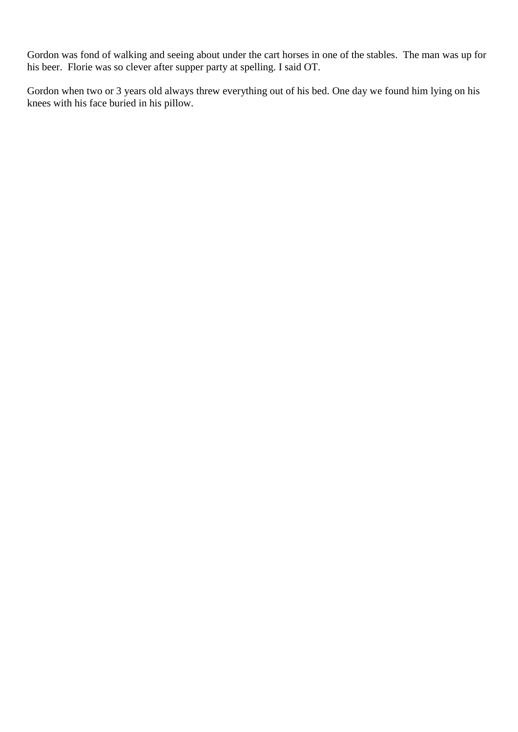Gordon was fond of walking and seeing about under the cart horses in one of the stables. The man was up for his beer. Florie was so clever after supper party at spelling. I said OT.

Gordon when two or 3 years old always threw everything out of his bed. One day we found him lying on his knees with his face buried in his pillow.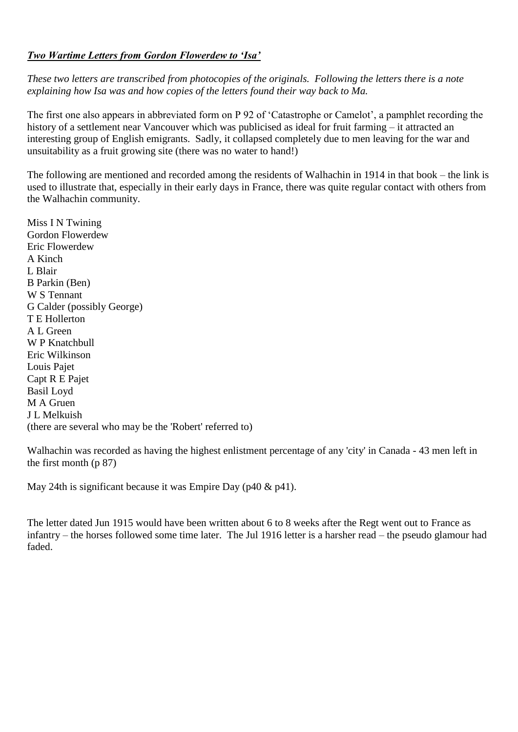#### *Two Wartime Letters from Gordon Flowerdew to 'Isa'*

*These two letters are transcribed from photocopies of the originals. Following the letters there is a note explaining how Isa was and how copies of the letters found their way back to Ma.*

The first one also appears in abbreviated form on P 92 of 'Catastrophe or Camelot', a pamphlet recording the history of a settlement near Vancouver which was publicised as ideal for fruit farming – it attracted an interesting group of English emigrants. Sadly, it collapsed completely due to men leaving for the war and unsuitability as a fruit growing site (there was no water to hand!)

The following are mentioned and recorded among the residents of Walhachin in 1914 in that book – the link is used to illustrate that, especially in their early days in France, there was quite regular contact with others from the Walhachin community.

Miss I N Twining Gordon Flowerdew Eric Flowerdew A Kinch L Blair B Parkin (Ben) W S Tennant G Calder (possibly George) T E Hollerton A L Green W P Knatchbull Eric Wilkinson Louis Pajet Capt R E Pajet Basil Loyd M A Gruen J L Melkuish (there are several who may be the 'Robert' referred to)

Walhachin was recorded as having the highest enlistment percentage of any 'city' in Canada - 43 men left in the first month (p 87)

May 24th is significant because it was Empire Day (p40 & p41).

The letter dated Jun 1915 would have been written about 6 to 8 weeks after the Regt went out to France as infantry – the horses followed some time later. The Jul 1916 letter is a harsher read – the pseudo glamour had faded.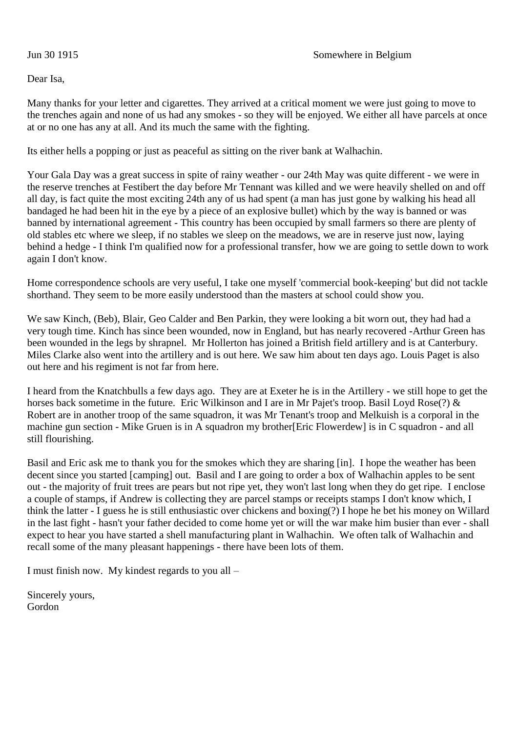Dear Isa,

Many thanks for your letter and cigarettes. They arrived at a critical moment we were just going to move to the trenches again and none of us had any smokes - so they will be enjoyed. We either all have parcels at once at or no one has any at all. And its much the same with the fighting.

Its either hells a popping or just as peaceful as sitting on the river bank at Walhachin.

Your Gala Day was a great success in spite of rainy weather - our 24th May was quite different - we were in the reserve trenches at Festibert the day before Mr Tennant was killed and we were heavily shelled on and off all day, is fact quite the most exciting 24th any of us had spent (a man has just gone by walking his head all bandaged he had been hit in the eye by a piece of an explosive bullet) which by the way is banned or was banned by international agreement - This country has been occupied by small farmers so there are plenty of old stables etc where we sleep, if no stables we sleep on the meadows, we are in reserve just now, laying behind a hedge - I think I'm qualified now for a professional transfer, how we are going to settle down to work again I don't know.

Home correspondence schools are very useful, I take one myself 'commercial book-keeping' but did not tackle shorthand. They seem to be more easily understood than the masters at school could show you.

We saw Kinch, (Beb), Blair, Geo Calder and Ben Parkin, they were looking a bit worn out, they had had a very tough time. Kinch has since been wounded, now in England, but has nearly recovered -Arthur Green has been wounded in the legs by shrapnel. Mr Hollerton has joined a British field artillery and is at Canterbury. Miles Clarke also went into the artillery and is out here. We saw him about ten days ago. Louis Paget is also out here and his regiment is not far from here.

I heard from the Knatchbulls a few days ago. They are at Exeter he is in the Artillery - we still hope to get the horses back sometime in the future. Eric Wilkinson and I are in Mr Pajet's troop. Basil Loyd Rose(?) & Robert are in another troop of the same squadron, it was Mr Tenant's troop and Melkuish is a corporal in the machine gun section - Mike Gruen is in A squadron my brother[Eric Flowerdew] is in C squadron - and all still flourishing.

Basil and Eric ask me to thank you for the smokes which they are sharing [in]. I hope the weather has been decent since you started [camping] out. Basil and I are going to order a box of Walhachin apples to be sent out - the majority of fruit trees are pears but not ripe yet, they won't last long when they do get ripe. I enclose a couple of stamps, if Andrew is collecting they are parcel stamps or receipts stamps I don't know which, I think the latter - I guess he is still enthusiastic over chickens and boxing(?) I hope he bet his money on Willard in the last fight - hasn't your father decided to come home yet or will the war make him busier than ever - shall expect to hear you have started a shell manufacturing plant in Walhachin. We often talk of Walhachin and recall some of the many pleasant happenings - there have been lots of them.

I must finish now. My kindest regards to you all –

Sincerely yours, Gordon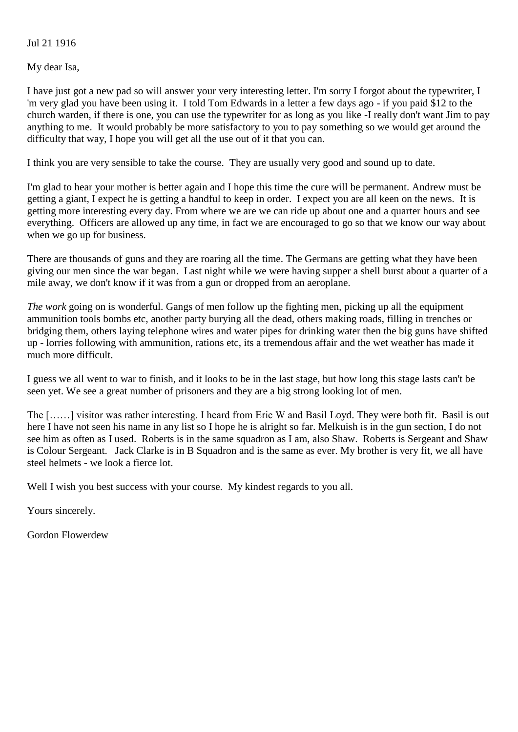#### Jul 21 1916

My dear Isa,

I have just got a new pad so will answer your very interesting letter. I'm sorry I forgot about the typewriter, I 'm very glad you have been using it. I told Tom Edwards in a letter a few days ago - if you paid \$12 to the church warden, if there is one, you can use the typewriter for as long as you like -I really don't want Jim to pay anything to me. It would probably be more satisfactory to you to pay something so we would get around the difficulty that way, I hope you will get all the use out of it that you can.

I think you are very sensible to take the course. They are usually very good and sound up to date.

I'm glad to hear your mother is better again and I hope this time the cure will be permanent. Andrew must be getting a giant, I expect he is getting a handful to keep in order. I expect you are all keen on the news. It is getting more interesting every day. From where we are we can ride up about one and a quarter hours and see everything. Officers are allowed up any time, in fact we are encouraged to go so that we know our way about when we go up for business.

There are thousands of guns and they are roaring all the time. The Germans are getting what they have been giving our men since the war began. Last night while we were having supper a shell burst about a quarter of a mile away, we don't know if it was from a gun or dropped from an aeroplane.

*The work* going on is wonderful. Gangs of men follow up the fighting men, picking up all the equipment ammunition tools bombs etc, another party burying all the dead, others making roads, filling in trenches or bridging them, others laying telephone wires and water pipes for drinking water then the big guns have shifted up - lorries following with ammunition, rations etc, its a tremendous affair and the wet weather has made it much more difficult.

I guess we all went to war to finish, and it looks to be in the last stage, but how long this stage lasts can't be seen yet. We see a great number of prisoners and they are a big strong looking lot of men.

The [……] visitor was rather interesting. I heard from Eric W and Basil Loyd. They were both fit. Basil is out here I have not seen his name in any list so I hope he is alright so far. Melkuish is in the gun section, I do not see him as often as I used. Roberts is in the same squadron as I am, also Shaw. Roberts is Sergeant and Shaw is Colour Sergeant. Jack Clarke is in B Squadron and is the same as ever. My brother is very fit, we all have steel helmets - we look a fierce lot.

Well I wish you best success with your course. My kindest regards to you all.

Yours sincerely.

Gordon Flowerdew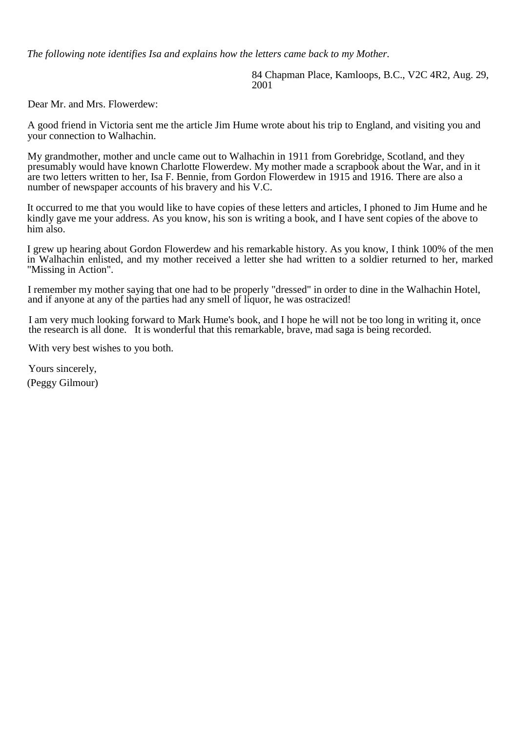*The following note identifies Isa and explains how the letters came back to my Mother.*

84 Chapman Place, Kamloops, B.C., V2C 4R2, Aug. 29, 2001

Dear Mr. and Mrs. Flowerdew:

A good friend in Victoria sent me the article Jim Hume wrote about his trip to England, and visiting you and your connection to Walhachin.

My grandmother, mother and uncle came out to Walhachin in 1911 from Gorebridge, Scotland, and they presumably would have known Charlotte Flowerdew. My mother made a scrapbook about the War, and in it are two letters written to her, Isa F. Bennie, from Gordon Flowerdew in 1915 and 1916. There are also a number of newspaper accounts of his bravery and his V.C.

It occurred to me that you would like to have copies of these letters and articles, I phoned to Jim Hume and he kindly gave me your address. As you know, his son is writing a book, and I have sent copies of the above to him also.

I grew up hearing about Gordon Flowerdew and his remarkable history. As you know, I think 100% of the men in Walhachin enlisted, and my mother received a letter she had written to a soldier returned to her, marked "Missing in Action".

I remember my mother saying that one had to be properly "dressed" in order to dine in the Walhachin Hotel, and if anyone at any of the parties had any smell of liquor, he was ostracized!

I am very much looking forward to Mark Hume's book, and I hope he will not be too long in writing it, once the research is all done. It is wonderful that this remarkable, brave, mad saga is being recorded.

With very best wishes to you both.

Yours sincerely, (Peggy Gilmour)